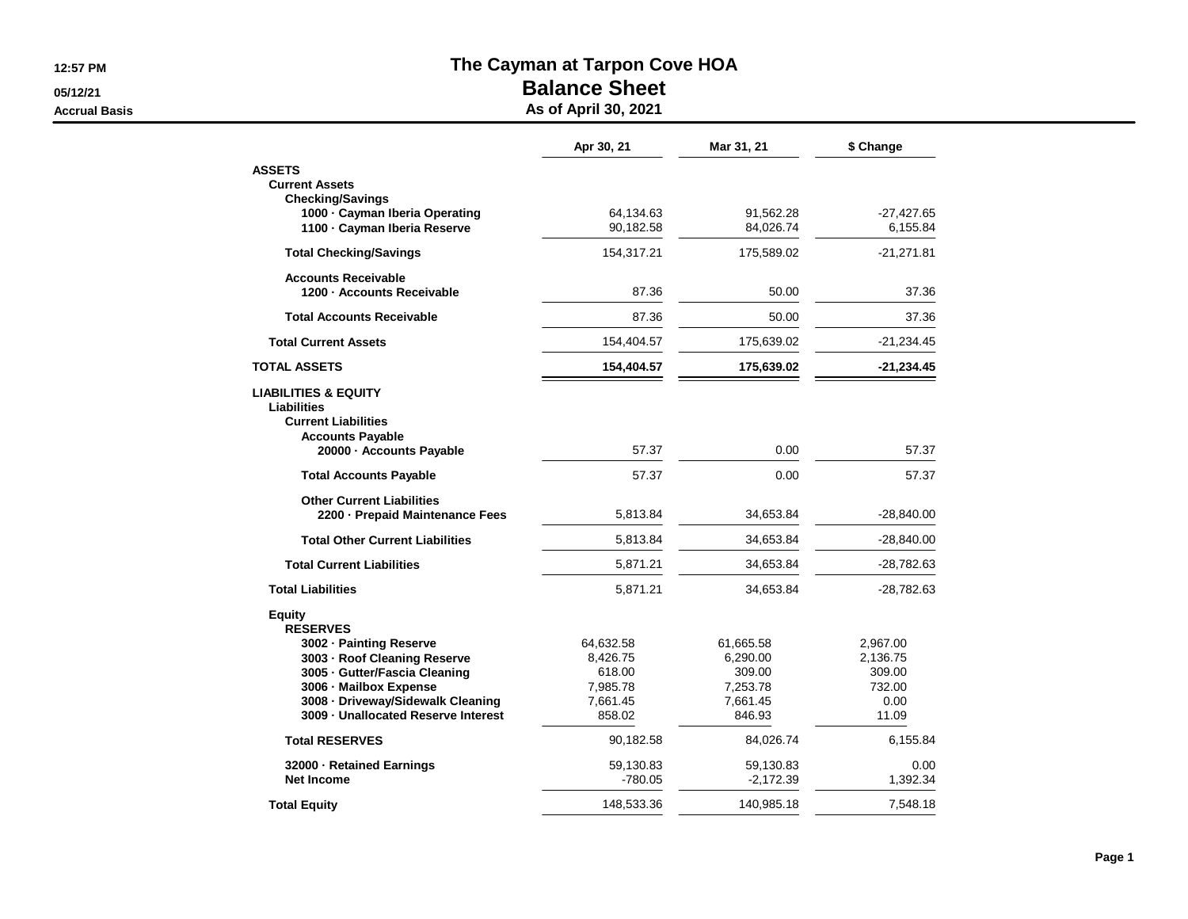**05/12/21**

**Accrual Basis**

## **The Cayman at Tarpon Cove HOA**

## **Balance Sheet**

**As of April 30, 2021**

|                                                           | Apr 30, 21 | Mar 31, 21  | \$ Change    |
|-----------------------------------------------------------|------------|-------------|--------------|
| <b>ASSETS</b>                                             |            |             |              |
| <b>Current Assets</b>                                     |            |             |              |
| <b>Checking/Savings</b><br>1000 · Cayman Iberia Operating | 64,134.63  | 91,562.28   | $-27,427.65$ |
| 1100 - Cayman Iberia Reserve                              | 90,182.58  | 84,026.74   | 6,155.84     |
|                                                           |            |             |              |
| <b>Total Checking/Savings</b>                             | 154,317.21 | 175,589.02  | $-21,271.81$ |
| <b>Accounts Receivable</b>                                |            |             |              |
| 1200 - Accounts Receivable                                | 87.36      | 50.00       | 37.36        |
| <b>Total Accounts Receivable</b>                          | 87.36      | 50.00       | 37.36        |
| <b>Total Current Assets</b>                               | 154,404.57 | 175,639.02  | $-21,234.45$ |
| <b>TOTAL ASSETS</b>                                       | 154,404.57 | 175,639.02  | $-21,234.45$ |
| <b>LIABILITIES &amp; EQUITY</b>                           |            |             |              |
| <b>Liabilities</b>                                        |            |             |              |
| <b>Current Liabilities</b>                                |            |             |              |
| <b>Accounts Payable</b>                                   |            |             |              |
| 20000 - Accounts Payable                                  | 57.37      | 0.00        | 57.37        |
| <b>Total Accounts Payable</b>                             | 57.37      | 0.00        | 57.37        |
| <b>Other Current Liabilities</b>                          |            |             |              |
| 2200 - Prepaid Maintenance Fees                           | 5,813.84   | 34,653.84   | $-28,840.00$ |
| <b>Total Other Current Liabilities</b>                    | 5,813.84   | 34,653.84   | $-28,840.00$ |
| <b>Total Current Liabilities</b>                          | 5,871.21   | 34,653.84   | $-28,782.63$ |
| <b>Total Liabilities</b>                                  | 5,871.21   | 34,653.84   | -28,782.63   |
| Equity                                                    |            |             |              |
| <b>RESERVES</b>                                           |            |             |              |
| 3002 - Painting Reserve                                   | 64,632.58  | 61,665.58   | 2,967.00     |
| 3003 - Roof Cleaning Reserve                              | 8,426.75   | 6,290.00    | 2,136.75     |
| 3005 - Gutter/Fascia Cleaning                             | 618.00     | 309.00      | 309.00       |
| 3006 - Mailbox Expense                                    | 7,985.78   | 7,253.78    | 732.00       |
| 3008 - Driveway/Sidewalk Cleaning                         | 7,661.45   | 7,661.45    | 0.00         |
| 3009 - Unallocated Reserve Interest                       | 858.02     | 846.93      | 11.09        |
| <b>Total RESERVES</b>                                     | 90,182.58  | 84,026.74   | 6,155.84     |
| 32000 · Retained Earnings                                 | 59,130.83  | 59,130.83   | 0.00         |
| <b>Net Income</b>                                         | $-780.05$  | $-2,172.39$ | 1,392.34     |
| <b>Total Equity</b>                                       | 148,533.36 | 140,985.18  | 7,548.18     |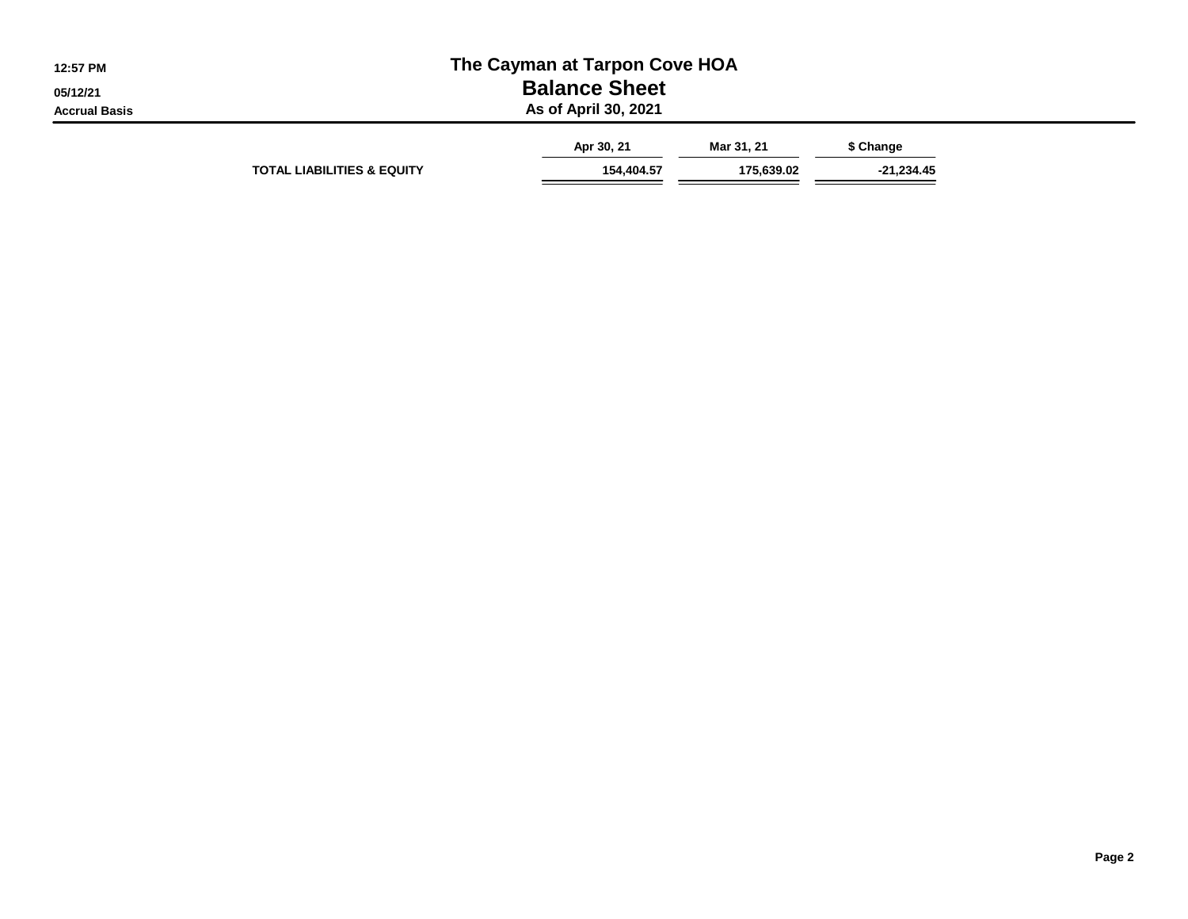| 12:57 PM<br>05/12/21 |                                       | The Cayman at Tarpon Cove HOA<br><b>Balance Sheet</b> |            |            |  |
|----------------------|---------------------------------------|-------------------------------------------------------|------------|------------|--|
| <b>Accrual Basis</b> |                                       | As of April 30, 2021<br>Apr 30, 21                    | Mar 31, 21 | \$ Change  |  |
|                      | <b>TOTAL LIABILITIES &amp; EQUITY</b> | 154,404.57                                            | 175.639.02 | -21,234.45 |  |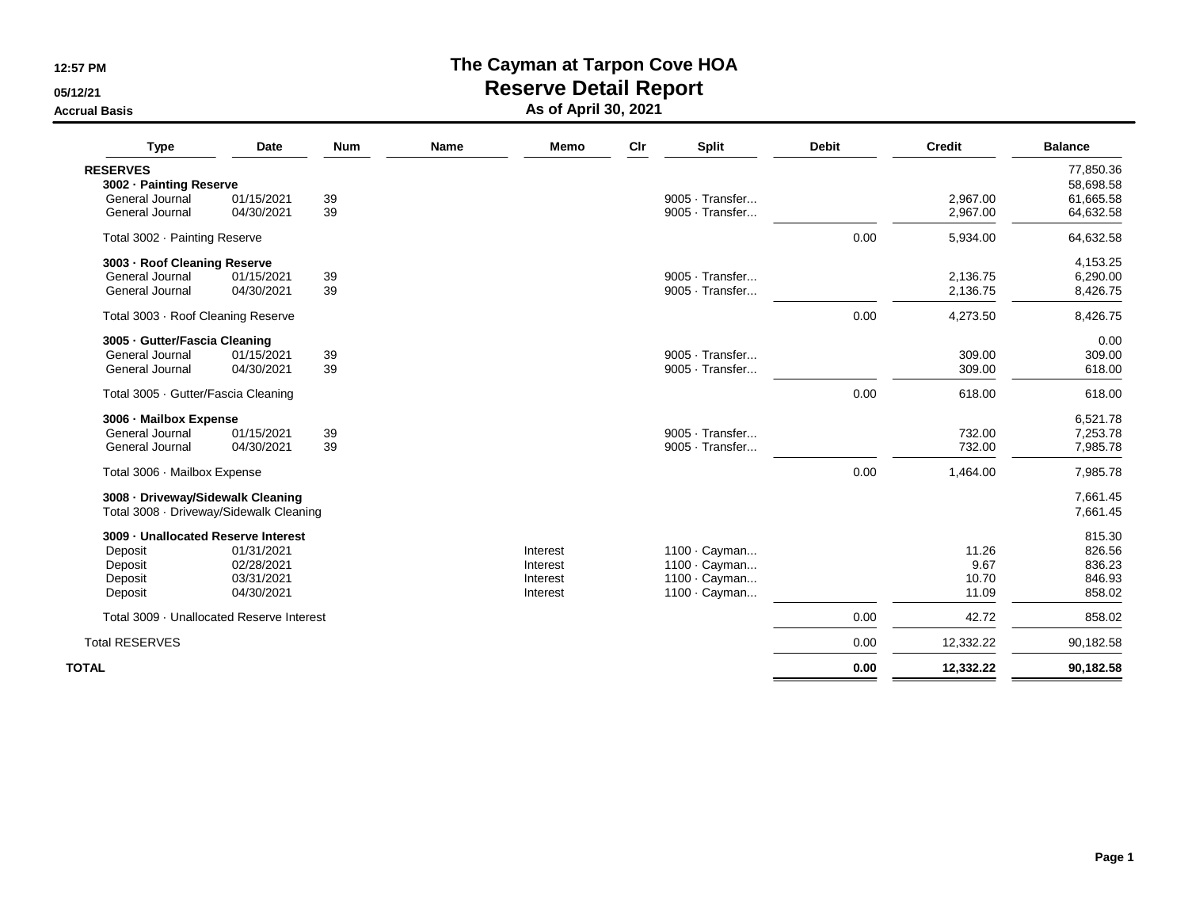**05/12/21**

**Accrual Basis**

## **The Cayman at Tarpon Cove HOA**

**Reserve Detail Report**

**As of April 30, 2021**

| <b>Type</b>                               | Date       | <b>Num</b> | <b>Name</b> | <b>Memo</b> | Cir | <b>Split</b>    | <b>Debit</b> | <b>Credit</b> | <b>Balance</b> |
|-------------------------------------------|------------|------------|-------------|-------------|-----|-----------------|--------------|---------------|----------------|
| <b>RESERVES</b>                           |            |            |             |             |     |                 |              |               | 77,850.36      |
| 3002 - Painting Reserve                   |            |            |             |             |     |                 |              |               | 58,698.58      |
| General Journal                           | 01/15/2021 | 39         |             |             |     | 9005 · Transfer |              | 2,967.00      | 61,665.58      |
| General Journal                           | 04/30/2021 | 39         |             |             |     | 9005 · Transfer |              | 2,967.00      | 64,632.58      |
| Total 3002 · Painting Reserve             |            |            |             |             |     |                 | 0.00         | 5,934.00      | 64,632.58      |
| 3003 - Roof Cleaning Reserve              |            |            |             |             |     |                 |              |               | 4,153.25       |
| General Journal                           | 01/15/2021 | 39         |             |             |     | 9005 · Transfer |              | 2.136.75      | 6,290.00       |
| General Journal                           | 04/30/2021 | 39         |             |             |     | 9005 · Transfer |              | 2,136.75      | 8,426.75       |
| Total 3003 · Roof Cleaning Reserve        |            |            |             |             |     |                 | 0.00         | 4,273.50      | 8,426.75       |
| 3005 - Gutter/Fascia Cleaning             |            |            |             |             |     |                 |              |               | 0.00           |
| General Journal                           | 01/15/2021 | 39         |             |             |     | 9005 · Transfer |              | 309.00        | 309.00         |
| General Journal                           | 04/30/2021 | 39         |             |             |     | 9005 · Transfer |              | 309.00        | 618.00         |
| Total 3005 · Gutter/Fascia Cleaning       |            |            |             |             |     |                 | 0.00         | 618.00        | 618.00         |
| 3006 - Mailbox Expense                    |            |            |             |             |     |                 |              |               | 6,521.78       |
| General Journal                           | 01/15/2021 | 39         |             |             |     | 9005 · Transfer |              | 732.00        | 7,253.78       |
| General Journal                           | 04/30/2021 | 39         |             |             |     | 9005 · Transfer |              | 732.00        | 7,985.78       |
| Total 3006 · Mailbox Expense              |            |            |             |             |     |                 | 0.00         | 1,464.00      | 7,985.78       |
| 3008 - Driveway/Sidewalk Cleaning         |            |            |             |             |     |                 |              |               | 7,661.45       |
| Total 3008 · Driveway/Sidewalk Cleaning   |            |            |             |             |     |                 |              |               | 7,661.45       |
| 3009 - Unallocated Reserve Interest       |            |            |             |             |     |                 |              |               | 815.30         |
| Deposit                                   | 01/31/2021 |            |             | Interest    |     | 1100 · Cayman   |              | 11.26         | 826.56         |
| Deposit                                   | 02/28/2021 |            |             | Interest    |     | 1100 · Cayman   |              | 9.67          | 836.23         |
| Deposit                                   | 03/31/2021 |            |             | Interest    |     | 1100 · Cayman   |              | 10.70         | 846.93         |
| Deposit                                   | 04/30/2021 |            |             | Interest    |     | 1100 · Cayman   |              | 11.09         | 858.02         |
| Total 3009 · Unallocated Reserve Interest |            |            |             |             |     |                 | 0.00         | 42.72         | 858.02         |
| <b>Total RESERVES</b>                     |            |            |             |             |     |                 | 0.00         | 12,332.22     | 90,182.58      |
| <b>TOTAL</b>                              |            |            |             |             |     |                 | 0.00         | 12,332.22     | 90,182.58      |
|                                           |            |            |             |             |     |                 |              |               |                |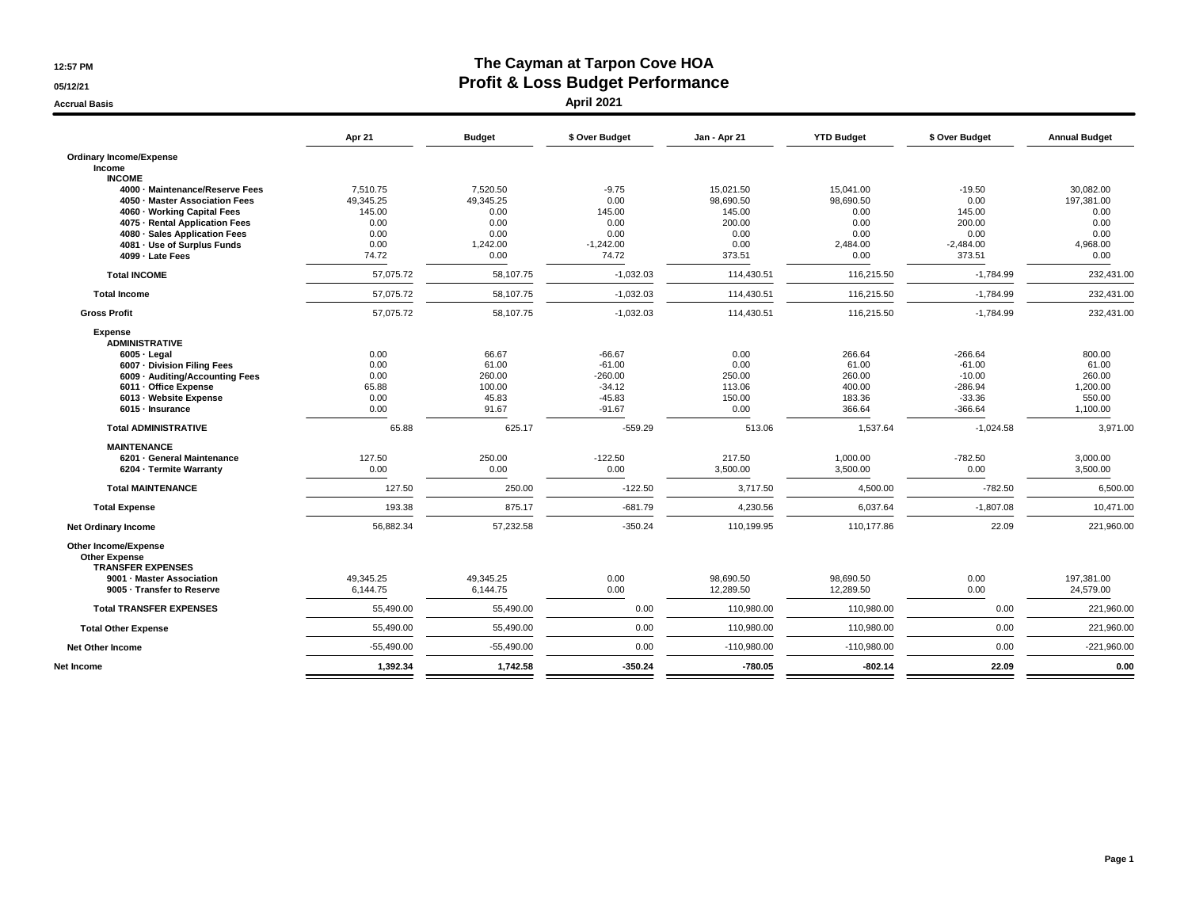**05/12/21Accrual Basis**

## **The Cayman at Tarpon Cove HOA Profit & Loss Budget Performance**

**April 2021**

|                                                                                                                                                                                                                                         | Apr 21                                                           | <b>Budget</b>                                                     | \$ Over Budget                                                        | Jan - Apr 21                                                         | <b>YTD Budget</b>                                                  | \$ Over Budget                                                          | <b>Annual Budget</b>                                                |
|-----------------------------------------------------------------------------------------------------------------------------------------------------------------------------------------------------------------------------------------|------------------------------------------------------------------|-------------------------------------------------------------------|-----------------------------------------------------------------------|----------------------------------------------------------------------|--------------------------------------------------------------------|-------------------------------------------------------------------------|---------------------------------------------------------------------|
| <b>Ordinary Income/Expense</b><br>Income                                                                                                                                                                                                |                                                                  |                                                                   |                                                                       |                                                                      |                                                                    |                                                                         |                                                                     |
| <b>INCOME</b><br>4000 · Maintenance/Reserve Fees<br>4050 · Master Association Fees<br>4060 · Working Capital Fees<br>4075 - Rental Application Fees<br>4080 · Sales Application Fees<br>4081 - Use of Surplus Funds<br>4099 - Late Fees | 7,510.75<br>49,345.25<br>145.00<br>0.00<br>0.00<br>0.00<br>74.72 | 7,520.50<br>49,345.25<br>0.00<br>0.00<br>0.00<br>1,242.00<br>0.00 | $-9.75$<br>0.00<br>145.00<br>0.00<br>0.00<br>$-1.242.00$<br>74.72     | 15,021.50<br>98,690.50<br>145.00<br>200.00<br>0.00<br>0.00<br>373.51 | 15,041.00<br>98,690.50<br>0.00<br>0.00<br>0.00<br>2,484.00<br>0.00 | $-19.50$<br>0.00<br>145.00<br>200.00<br>0.00<br>$-2,484.00$<br>373.51   | 30,082.00<br>197,381.00<br>0.00<br>0.00<br>0.00<br>4,968.00<br>0.00 |
| <b>Total INCOME</b>                                                                                                                                                                                                                     | 57.075.72                                                        | 58,107.75                                                         | $-1,032.03$                                                           | 114,430.51                                                           | 116,215.50                                                         | $-1,784.99$                                                             | 232,431.00                                                          |
| <b>Total Income</b>                                                                                                                                                                                                                     | 57,075.72                                                        | 58,107.75                                                         | $-1,032.03$                                                           | 114,430.51                                                           | 116,215.50                                                         | $-1,784.99$                                                             | 232,431.00                                                          |
| <b>Gross Profit</b>                                                                                                                                                                                                                     | 57,075.72                                                        | 58,107.75                                                         | $-1,032.03$                                                           | 114,430.51                                                           | 116,215.50                                                         | $-1,784.99$                                                             | 232,431.00                                                          |
| <b>Expense</b><br><b>ADMINISTRATIVE</b><br>$6005 - Legal$<br>6007 · Division Filing Fees<br>6009 - Auditing/Accounting Fees<br>6011 - Office Expense<br>6013 - Website Expense<br>6015 · Insurance                                      | 0.00<br>0.00<br>0.00<br>65.88<br>0.00<br>0.00                    | 66.67<br>61.00<br>260.00<br>100.00<br>45.83<br>91.67              | $-66.67$<br>$-61.00$<br>$-260.00$<br>$-34.12$<br>$-45.83$<br>$-91.67$ | 0.00<br>0.00<br>250.00<br>113.06<br>150.00<br>0.00                   | 266.64<br>61.00<br>260.00<br>400.00<br>183.36<br>366.64            | $-266.64$<br>$-61.00$<br>$-10.00$<br>$-286.94$<br>$-33.36$<br>$-366.64$ | 800.00<br>61.00<br>260.00<br>1,200.00<br>550.00<br>1,100.00         |
| <b>Total ADMINISTRATIVE</b>                                                                                                                                                                                                             | 65.88                                                            | 625.17                                                            | $-559.29$                                                             | 513.06                                                               | 1.537.64                                                           | $-1.024.58$                                                             | 3.971.00                                                            |
| <b>MAINTENANCE</b><br>6201 · General Maintenance<br>6204 - Termite Warranty                                                                                                                                                             | 127.50<br>0.00                                                   | 250.00<br>0.00                                                    | $-122.50$<br>0.00                                                     | 217.50<br>3,500.00                                                   | 1,000.00<br>3,500.00                                               | $-782.50$<br>0.00                                                       | 3,000.00<br>3,500.00                                                |
| <b>Total MAINTENANCE</b>                                                                                                                                                                                                                | 127.50                                                           | 250.00                                                            | $-122.50$                                                             | 3,717.50                                                             | 4,500.00                                                           | $-782.50$                                                               | 6,500.00                                                            |
| <b>Total Expense</b>                                                                                                                                                                                                                    | 193.38                                                           | 875.17                                                            | $-681.79$                                                             | 4,230.56                                                             | 6,037.64                                                           | $-1,807.08$                                                             | 10,471.00                                                           |
| <b>Net Ordinary Income</b>                                                                                                                                                                                                              | 56,882.34                                                        | 57,232.58                                                         | $-350.24$                                                             | 110,199.95                                                           | 110,177.86                                                         | 22.09                                                                   | 221.960.00                                                          |
| Other Income/Expense<br><b>Other Expense</b><br><b>TRANSFER EXPENSES</b>                                                                                                                                                                |                                                                  |                                                                   |                                                                       |                                                                      |                                                                    |                                                                         |                                                                     |
| 9001 - Master Association<br>9005 - Transfer to Reserve                                                                                                                                                                                 | 49,345.25<br>6,144.75                                            | 49,345.25<br>6,144.75                                             | 0.00<br>0.00                                                          | 98,690.50<br>12,289.50                                               | 98,690.50<br>12,289.50                                             | 0.00<br>0.00                                                            | 197,381.00<br>24,579.00                                             |
| <b>Total TRANSFER EXPENSES</b>                                                                                                                                                                                                          | 55,490.00                                                        | 55,490.00                                                         | 0.00                                                                  | 110,980.00                                                           | 110,980.00                                                         | 0.00                                                                    | 221,960.00                                                          |
| <b>Total Other Expense</b>                                                                                                                                                                                                              | 55,490.00                                                        | 55,490.00                                                         | 0.00                                                                  | 110,980.00                                                           | 110,980.00                                                         | 0.00                                                                    | 221,960.00                                                          |
| <b>Net Other Income</b>                                                                                                                                                                                                                 | $-55,490.00$                                                     | $-55,490.00$                                                      | 0.00                                                                  | $-110,980.00$                                                        | $-110,980.00$                                                      | 0.00                                                                    | $-221,960.00$                                                       |
| Net Income                                                                                                                                                                                                                              | 1,392.34                                                         | 1,742.58                                                          | $-350.24$                                                             | $-780.05$                                                            | $-802.14$                                                          | 22.09                                                                   | 0.00                                                                |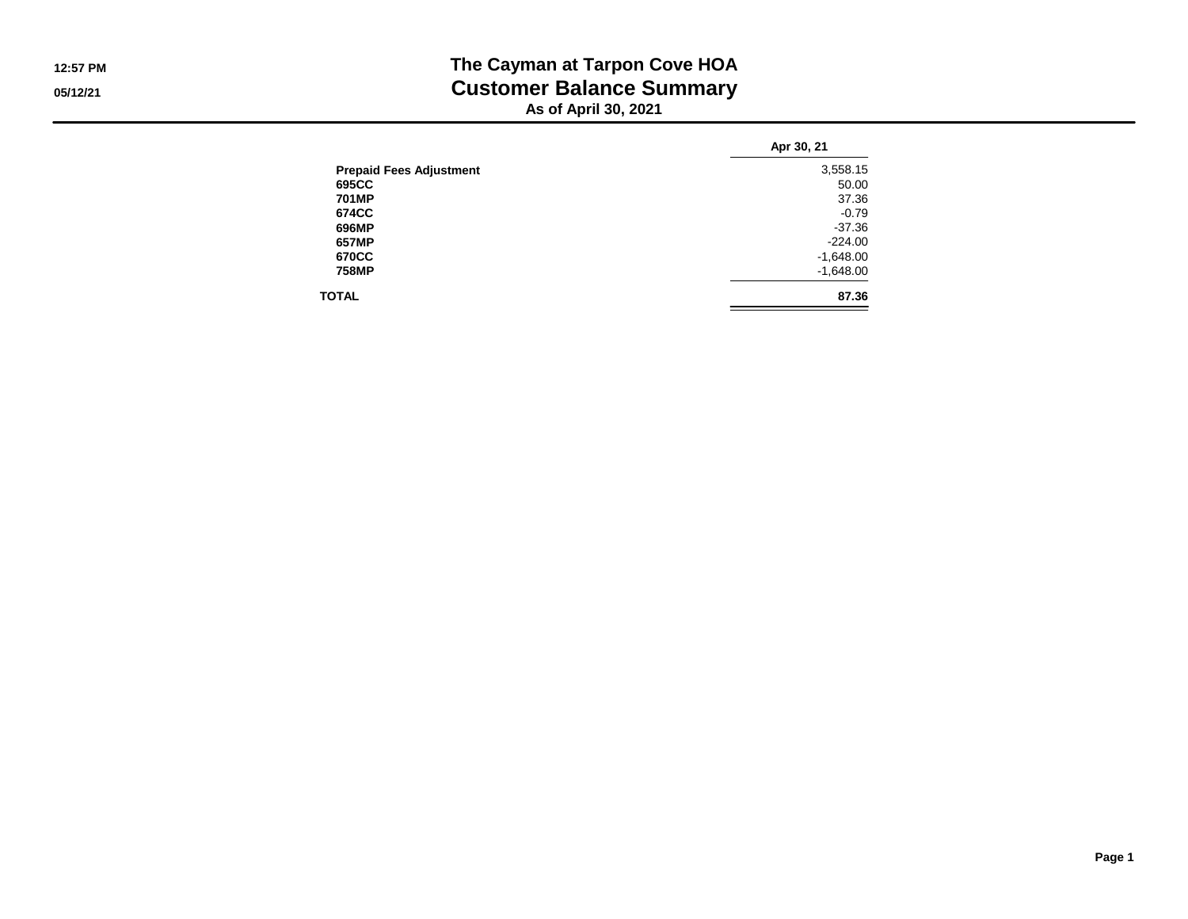### **The Cayman at Tarpon Cove HOA Customer Balance SummaryAs of April 30, 2021**

|                                | Apr 30, 21  |
|--------------------------------|-------------|
| <b>Prepaid Fees Adjustment</b> | 3,558.15    |
| 695CC                          | 50.00       |
| 701MP                          | 37.36       |
| 674CC                          | $-0.79$     |
| 696MP                          | $-37.36$    |
| 657MP                          | $-224.00$   |
| 670CC                          | $-1,648.00$ |
| 758MP                          | $-1,648.00$ |
| <b>TOTAL</b>                   | 87.36       |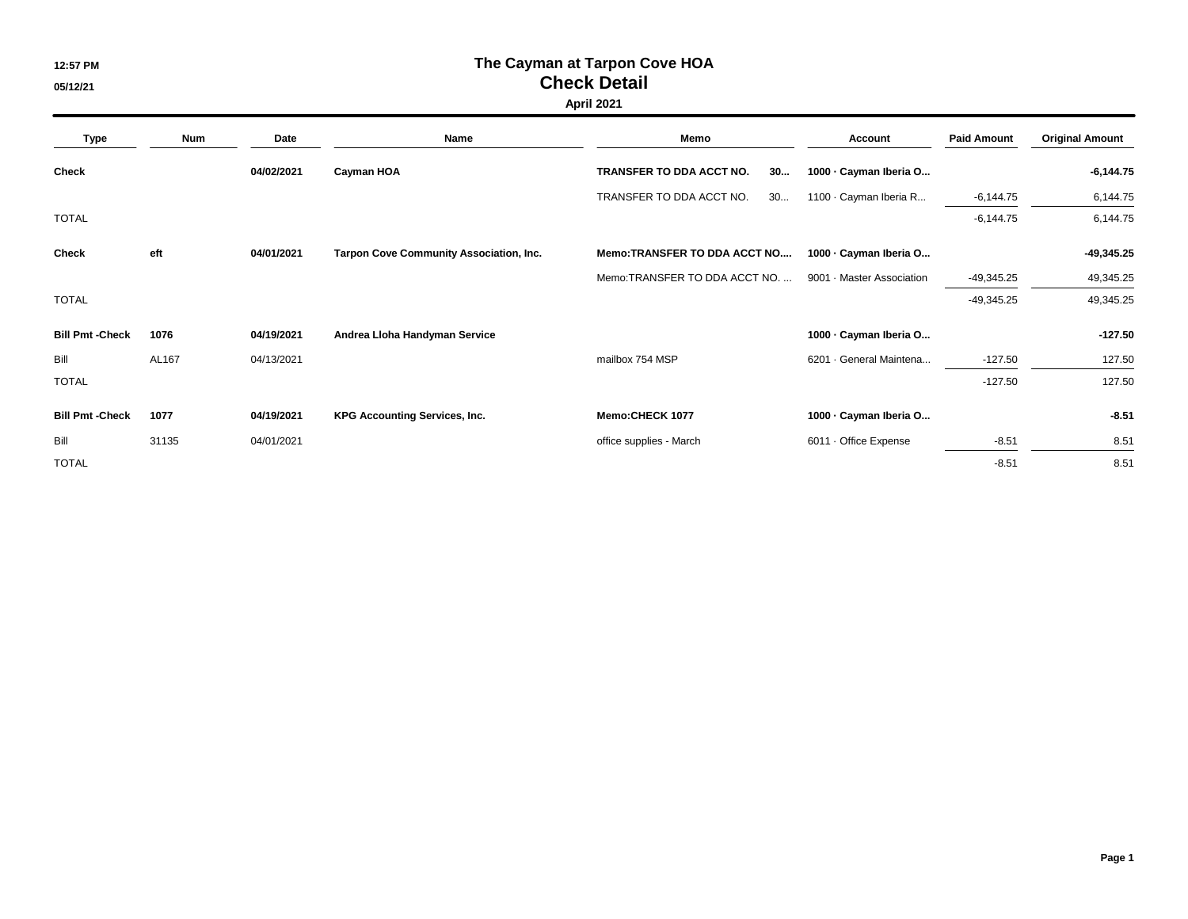# **The Cayman at Tarpon Cove HOA Check Detail**

**05/12/21**

#### **April 2021**

| <b>Type</b>           | <b>Num</b> | Date       | Name                                    | Memo                           | <b>Account</b>            | <b>Paid Amount</b> | <b>Original Amount</b> |  |
|-----------------------|------------|------------|-----------------------------------------|--------------------------------|---------------------------|--------------------|------------------------|--|
| <b>Check</b>          |            | 04/02/2021 | Cayman HOA                              | TRANSFER TO DDA ACCT NO.<br>30 | 1000 · Cayman Iberia O    |                    | $-6,144.75$            |  |
|                       |            |            |                                         | TRANSFER TO DDA ACCT NO.<br>30 | 1100 · Cayman Iberia R    | $-6,144.75$        | 6,144.75               |  |
| <b>TOTAL</b>          |            |            |                                         |                                |                           | $-6,144.75$        | 6,144.75               |  |
| Check                 | eft        | 04/01/2021 | Tarpon Cove Community Association, Inc. | Memo:TRANSFER TO DDA ACCT NO   | 1000 · Cayman Iberia O    |                    | $-49,345.25$           |  |
|                       |            |            |                                         | Memo: TRANSFER TO DDA ACCT NO. | 9001 · Master Association | -49,345.25         | 49,345.25              |  |
| <b>TOTAL</b>          |            |            |                                         |                                |                           | $-49,345.25$       | 49,345.25              |  |
| <b>Bill Pmt-Check</b> | 1076       | 04/19/2021 | Andrea Lloha Handyman Service           |                                | 1000 · Cayman Iberia O    |                    | $-127.50$              |  |
| Bill                  | AL167      | 04/13/2021 |                                         | mailbox 754 MSP                | 6201 · General Maintena   | $-127.50$          | 127.50                 |  |
| <b>TOTAL</b>          |            |            |                                         |                                |                           | $-127.50$          | 127.50                 |  |
| <b>Bill Pmt-Check</b> | 1077       | 04/19/2021 | <b>KPG Accounting Services, Inc.</b>    | Memo:CHECK 1077                | 1000 · Cayman Iberia O    |                    | $-8.51$                |  |
| Bill                  | 31135      | 04/01/2021 |                                         | office supplies - March        | 6011 · Office Expense     | $-8.51$            | 8.51                   |  |
| <b>TOTAL</b>          |            |            |                                         |                                |                           | $-8.51$            | 8.51                   |  |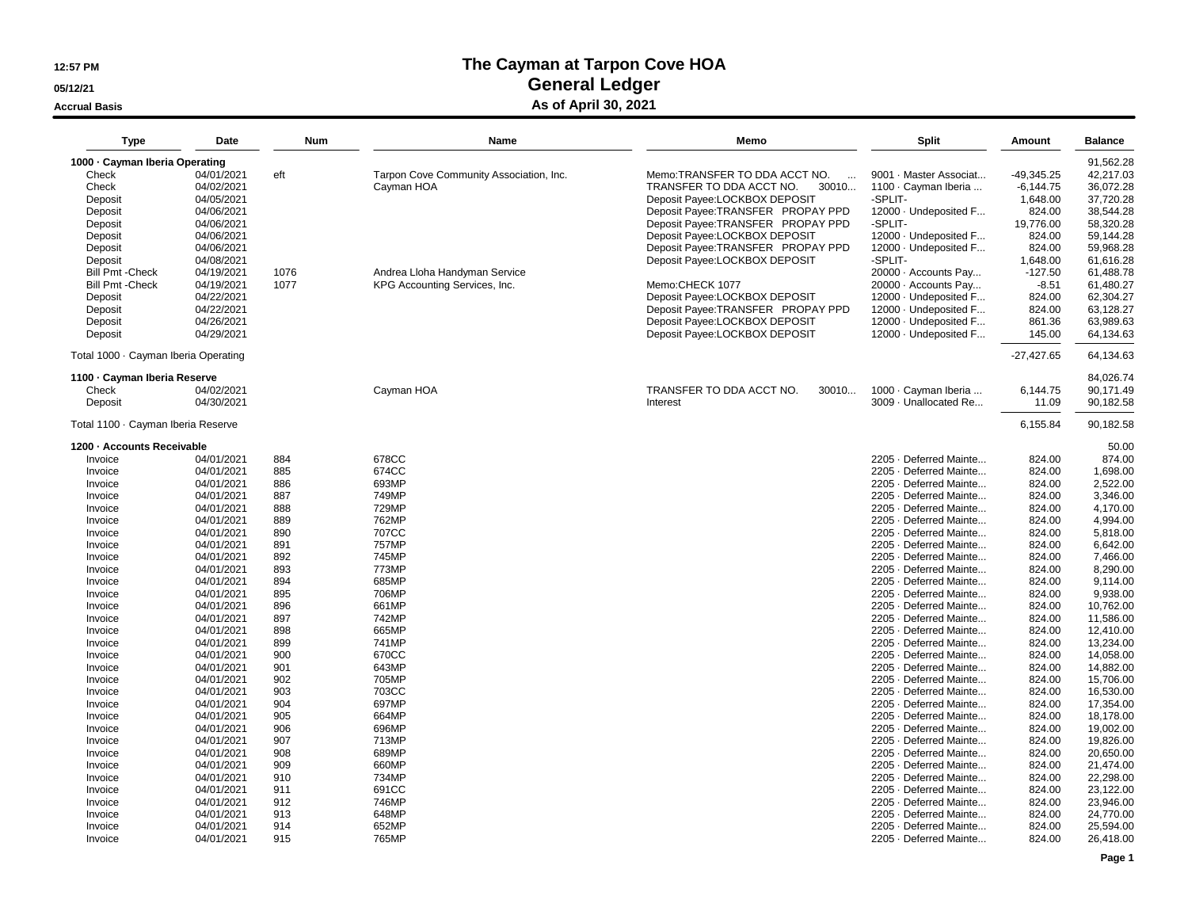#### **05/12/21**

**Accrual Basis**

## **The Cayman at Tarpon Cove HOAGeneral Ledger**

#### **As of April 30, 2021**

| <b>Type</b>                          | Date       | Num  | Name                                    | Memo                               | Split                  | Amount       | <b>Balance</b> |
|--------------------------------------|------------|------|-----------------------------------------|------------------------------------|------------------------|--------------|----------------|
| 1000 · Cayman Iberia Operating       |            |      |                                         |                                    |                        |              | 91,562.28      |
| Check                                | 04/01/2021 | eft  | Tarpon Cove Community Association, Inc. | Memo:TRANSFER TO DDA ACCT NO.      | 9001 · Master Associat | $-49,345.25$ | 42,217.03      |
| Check                                | 04/02/2021 |      | Cayman HOA                              | TRANSFER TO DDA ACCT NO.<br>30010  | 1100 · Cayman Iberia   | $-6, 144.75$ | 36,072.28      |
| Deposit                              | 04/05/2021 |      |                                         | Deposit Payee:LOCKBOX DEPOSIT      | -SPLIT-                | 1,648.00     | 37,720.28      |
| Deposit                              | 04/06/2021 |      |                                         | Deposit Payee: TRANSFER PROPAY PPD | 12000 · Undeposited F  | 824.00       | 38,544.28      |
| Deposit                              | 04/06/2021 |      |                                         | Deposit Payee: TRANSFER PROPAY PPD | -SPLIT-                | 19,776.00    | 58,320.28      |
| Deposit                              | 04/06/2021 |      |                                         | Deposit Payee:LOCKBOX DEPOSIT      | 12000 · Undeposited F  | 824.00       | 59,144.28      |
| Deposit                              | 04/06/2021 |      |                                         | Deposit Payee: TRANSFER PROPAY PPD | 12000 · Undeposited F  | 824.00       | 59.968.28      |
| Deposit                              | 04/08/2021 |      |                                         | Deposit Payee:LOCKBOX DEPOSIT      | -SPLIT-                | 1,648.00     | 61,616.28      |
| <b>Bill Pmt - Check</b>              | 04/19/2021 | 1076 | Andrea Lloha Handyman Service           |                                    | 20000 · Accounts Pay   | $-127.50$    | 61,488.78      |
| <b>Bill Pmt - Check</b>              | 04/19/2021 | 1077 | KPG Accounting Services, Inc.           | Memo:CHECK 1077                    | 20000 · Accounts Pay   | $-8.51$      | 61,480.27      |
| Deposit                              | 04/22/2021 |      |                                         | Deposit Payee:LOCKBOX DEPOSIT      | 12000 · Undeposited F  | 824.00       | 62,304.27      |
| Deposit                              | 04/22/2021 |      |                                         | Deposit Payee: TRANSFER PROPAY PPD | 12000 · Undeposited F  | 824.00       | 63,128.27      |
| Deposit                              | 04/26/2021 |      |                                         | Deposit Payee:LOCKBOX DEPOSIT      | 12000 · Undeposited F  | 861.36       | 63,989.63      |
| Deposit                              | 04/29/2021 |      |                                         | Deposit Payee:LOCKBOX DEPOSIT      | 12000 · Undeposited F  | 145.00       | 64,134.63      |
|                                      |            |      |                                         |                                    |                        |              | 64,134.63      |
| Total 1000 · Cayman Iberia Operating |            |      |                                         |                                    |                        | $-27,427.65$ |                |
| 1100 - Cayman Iberia Reserve         |            |      |                                         |                                    |                        |              | 84,026.74      |
| Check                                | 04/02/2021 |      | Cayman HOA                              | TRANSFER TO DDA ACCT NO.<br>30010  | 1000 · Cayman Iberia   | 6,144.75     | 90,171.49      |
| Deposit                              | 04/30/2021 |      |                                         | Interest                           | 3009 · Unallocated Re  | 11.09        | 90,182.58      |
| Total 1100 · Cayman Iberia Reserve   |            |      |                                         |                                    |                        | 6,155.84     | 90,182.58      |
| 1200 - Accounts Receivable           |            |      |                                         |                                    |                        |              | 50.00          |
| Invoice                              | 04/01/2021 | 884  | 678CC                                   |                                    | 2205 · Deferred Mainte | 824.00       | 874.00         |
| Invoice                              | 04/01/2021 | 885  | 674CC                                   |                                    | 2205 · Deferred Mainte | 824.00       | 1,698.00       |
| Invoice                              | 04/01/2021 | 886  | 693MP                                   |                                    | 2205 · Deferred Mainte | 824.00       | 2,522.00       |
| Invoice                              | 04/01/2021 | 887  | 749MP                                   |                                    | 2205 · Deferred Mainte | 824.00       | 3,346.00       |
| Invoice                              | 04/01/2021 | 888  | 729MP                                   |                                    | 2205 · Deferred Mainte | 824.00       | 4,170.00       |
| Invoice                              | 04/01/2021 | 889  | 762MP                                   |                                    | 2205 · Deferred Mainte | 824.00       | 4,994.00       |
| Invoice                              | 04/01/2021 | 890  | 707CC                                   |                                    | 2205 · Deferred Mainte | 824.00       | 5,818.00       |
| Invoice                              | 04/01/2021 | 891  | 757MP                                   |                                    | 2205 · Deferred Mainte | 824.00       | 6,642.00       |
| Invoice                              | 04/01/2021 | 892  | 745MP                                   |                                    | 2205 · Deferred Mainte | 824.00       | 7,466.00       |
| Invoice                              | 04/01/2021 | 893  | 773MP                                   |                                    | 2205 · Deferred Mainte | 824.00       | 8,290.00       |
| Invoice                              | 04/01/2021 | 894  | 685MP                                   |                                    | 2205 · Deferred Mainte | 824.00       | 9,114.00       |
| Invoice                              | 04/01/2021 | 895  | 706MP                                   |                                    | 2205 · Deferred Mainte | 824.00       | 9,938.00       |
| Invoice                              | 04/01/2021 | 896  | 661MP                                   |                                    | 2205 · Deferred Mainte | 824.00       | 10.762.00      |
| Invoice                              | 04/01/2021 | 897  | 742MP                                   |                                    | 2205 · Deferred Mainte | 824.00       | 11,586.00      |
| Invoice                              | 04/01/2021 | 898  | 665MP                                   |                                    | 2205 · Deferred Mainte | 824.00       | 12.410.00      |
| Invoice                              | 04/01/2021 | 899  | 741MP                                   |                                    | 2205 · Deferred Mainte | 824.00       | 13,234.00      |
| Invoice                              | 04/01/2021 | 900  | 670CC                                   |                                    | 2205 · Deferred Mainte | 824.00       | 14,058.00      |
| Invoice                              | 04/01/2021 | 901  | 643MP                                   |                                    | 2205 · Deferred Mainte | 824.00       | 14,882.00      |
| Invoice                              | 04/01/2021 | 902  | 705MP                                   |                                    | 2205 Deferred Mainte   | 824.00       | 15,706.00      |
| Invoice                              | 04/01/2021 | 903  | 703CC                                   |                                    | 2205 Deferred Mainte   | 824.00       | 16,530.00      |
| Invoice                              | 04/01/2021 | 904  | 697MP                                   |                                    | 2205 · Deferred Mainte | 824.00       | 17,354.00      |
| Invoice                              | 04/01/2021 | 905  | 664MP                                   |                                    | 2205 · Deferred Mainte | 824.00       | 18,178.00      |
| Invoice                              | 04/01/2021 | 906  | 696MP                                   |                                    | 2205 · Deferred Mainte | 824.00       | 19,002.00      |
| Invoice                              | 04/01/2021 | 907  | 713MP                                   |                                    | 2205 · Deferred Mainte | 824.00       | 19,826.00      |
| Invoice                              | 04/01/2021 | 908  | 689MP                                   |                                    | 2205 · Deferred Mainte | 824.00       | 20,650.00      |
| Invoice                              | 04/01/2021 | 909  | 660MP                                   |                                    | 2205 · Deferred Mainte | 824.00       | 21,474.00      |
| Invoice                              | 04/01/2021 | 910  | 734MP                                   |                                    | 2205 · Deferred Mainte | 824.00       | 22,298.00      |
| Invoice                              | 04/01/2021 | 911  | 691CC                                   |                                    | 2205 · Deferred Mainte | 824.00       | 23,122.00      |
| Invoice                              | 04/01/2021 | 912  | 746MP                                   |                                    | 2205 · Deferred Mainte | 824.00       | 23,946.00      |
| Invoice                              | 04/01/2021 | 913  | 648MP                                   |                                    | 2205 · Deferred Mainte | 824.00       | 24,770.00      |
| Invoice                              | 04/01/2021 | 914  | 652MP                                   |                                    | 2205 Deferred Mainte   | 824.00       | 25,594.00      |
| Invoice                              | 04/01/2021 | 915  | 765MP                                   |                                    | 2205 · Deferred Mainte | 824.00       | 26,418.00      |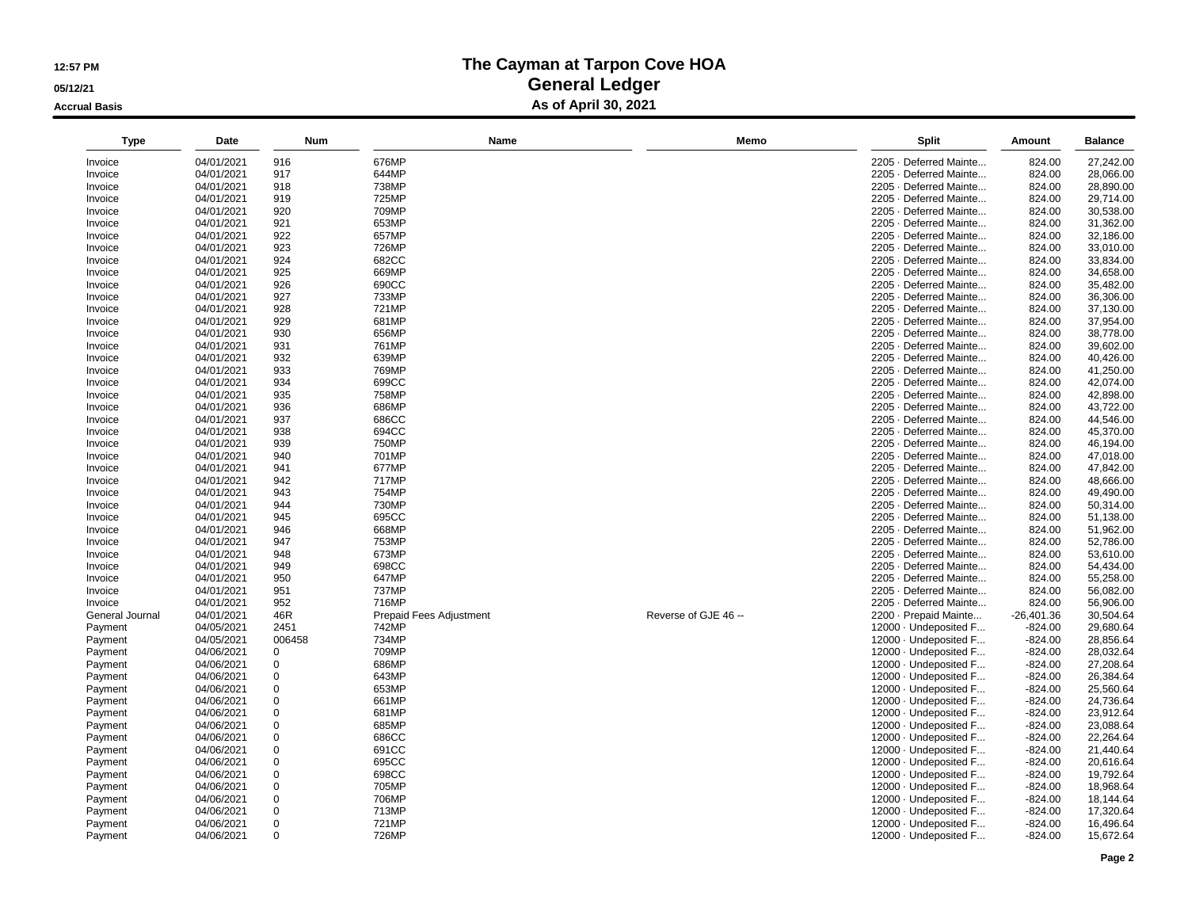**05/12/21**

**Accrual Basis**

| <b>Type</b>     | Date       | <b>Num</b> | Name                    | Memo                 | Split                  | Amount       | <b>Balance</b> |
|-----------------|------------|------------|-------------------------|----------------------|------------------------|--------------|----------------|
| Invoice         | 04/01/2021 | 916        | 676MP                   |                      | 2205 · Deferred Mainte | 824.00       | 27,242.00      |
| Invoice         | 04/01/2021 | 917        | 644MP                   |                      | 2205 · Deferred Mainte | 824.00       | 28,066.00      |
| Invoice         | 04/01/2021 | 918        | 738MP                   |                      | 2205 · Deferred Mainte | 824.00       | 28,890.00      |
| Invoice         | 04/01/2021 | 919        | 725MP                   |                      | 2205 · Deferred Mainte | 824.00       | 29,714.00      |
| Invoice         | 04/01/2021 | 920        | 709MP                   |                      | 2205 · Deferred Mainte | 824.00       | 30,538.00      |
| Invoice         | 04/01/2021 | 921        | 653MP                   |                      | 2205 · Deferred Mainte | 824.00       | 31,362.00      |
| Invoice         | 04/01/2021 | 922        | 657MP                   |                      | 2205 · Deferred Mainte | 824.00       | 32,186.00      |
| Invoice         | 04/01/2021 | 923        | 726MP                   |                      | 2205 · Deferred Mainte | 824.00       | 33,010.00      |
| Invoice         | 04/01/2021 | 924        | 682CC                   |                      | 2205 · Deferred Mainte | 824.00       | 33,834.00      |
| Invoice         | 04/01/2021 | 925        | 669MP                   |                      | 2205 · Deferred Mainte | 824.00       | 34,658.00      |
| Invoice         | 04/01/2021 | 926        | 690CC                   |                      | 2205 · Deferred Mainte | 824.00       | 35,482.00      |
| Invoice         | 04/01/2021 | 927        | 733MP                   |                      | 2205 · Deferred Mainte | 824.00       | 36,306.00      |
| Invoice         | 04/01/2021 | 928        | 721MP                   |                      | 2205 · Deferred Mainte | 824.00       | 37,130.00      |
| Invoice         | 04/01/2021 | 929        | 681MP                   |                      | 2205 · Deferred Mainte | 824.00       | 37,954.00      |
| Invoice         | 04/01/2021 | 930        | 656MP                   |                      | 2205 · Deferred Mainte | 824.00       | 38,778.00      |
| Invoice         | 04/01/2021 | 931        | 761MP                   |                      | 2205 · Deferred Mainte | 824.00       | 39,602.00      |
| Invoice         | 04/01/2021 | 932        | 639MP                   |                      | 2205 · Deferred Mainte | 824.00       | 40,426.00      |
| Invoice         | 04/01/2021 | 933        | 769MP                   |                      | 2205 · Deferred Mainte | 824.00       | 41,250.00      |
| Invoice         | 04/01/2021 | 934        | 699CC                   |                      | 2205 · Deferred Mainte | 824.00       | 42,074.00      |
| Invoice         | 04/01/2021 | 935        | 758MP                   |                      | 2205 · Deferred Mainte | 824.00       | 42,898.00      |
| Invoice         | 04/01/2021 | 936        | 686MP                   |                      | 2205 · Deferred Mainte | 824.00       | 43,722.00      |
| Invoice         | 04/01/2021 | 937        | 686CC                   |                      | 2205 · Deferred Mainte | 824.00       | 44,546.00      |
| Invoice         | 04/01/2021 | 938        | 694CC                   |                      | 2205 · Deferred Mainte | 824.00       | 45,370.00      |
| Invoice         | 04/01/2021 | 939        | 750MP                   |                      | 2205 · Deferred Mainte | 824.00       | 46,194.00      |
| Invoice         | 04/01/2021 | 940        | 701MP                   |                      | 2205 · Deferred Mainte | 824.00       | 47,018.00      |
| Invoice         | 04/01/2021 | 941        | 677MP                   |                      | 2205 · Deferred Mainte | 824.00       | 47,842.00      |
| Invoice         | 04/01/2021 | 942        | 717MP                   |                      | 2205 · Deferred Mainte | 824.00       | 48,666.00      |
| Invoice         | 04/01/2021 | 943        | 754MP                   |                      | 2205 · Deferred Mainte | 824.00       | 49,490.00      |
| Invoice         | 04/01/2021 | 944        | 730MP                   |                      | 2205 · Deferred Mainte | 824.00       | 50,314.00      |
| Invoice         | 04/01/2021 | 945        | 695CC                   |                      | 2205 · Deferred Mainte | 824.00       | 51,138.00      |
| Invoice         | 04/01/2021 | 946        | 668MP                   |                      | 2205 · Deferred Mainte | 824.00       | 51,962.00      |
| Invoice         | 04/01/2021 | 947        | 753MP                   |                      | 2205 · Deferred Mainte | 824.00       | 52,786.00      |
| Invoice         | 04/01/2021 | 948        | 673MP                   |                      | 2205 · Deferred Mainte | 824.00       | 53,610.00      |
| Invoice         | 04/01/2021 | 949        | 698CC                   |                      | 2205 · Deferred Mainte | 824.00       | 54,434.00      |
| Invoice         | 04/01/2021 | 950        | 647MP                   |                      | 2205 · Deferred Mainte | 824.00       | 55,258.00      |
| Invoice         | 04/01/2021 | 951        | 737MP                   |                      | 2205 · Deferred Mainte | 824.00       | 56,082.00      |
| Invoice         | 04/01/2021 | 952        | 716MP                   |                      | 2205 · Deferred Mainte | 824.00       | 56,906.00      |
| General Journal | 04/01/2021 | 46R        | Prepaid Fees Adjustment | Reverse of GJE 46 -- | 2200 - Prepaid Mainte  | $-26,401.36$ | 30,504.64      |
| Payment         | 04/05/2021 | 2451       | 742MP                   |                      | 12000 · Undeposited F  | $-824.00$    | 29,680.64      |
| Payment         | 04/05/2021 | 006458     | 734MP                   |                      | 12000 · Undeposited F  | $-824.00$    | 28,856.64      |
| Payment         | 04/06/2021 | 0          | 709MP                   |                      | 12000 · Undeposited F  | $-824.00$    | 28,032.64      |
| Payment         | 04/06/2021 | 0          | 686MP                   |                      | 12000 · Undeposited F  | $-824.00$    | 27,208.64      |
| Payment         | 04/06/2021 | 0          | 643MP                   |                      | 12000 · Undeposited F  | $-824.00$    | 26,384.64      |
| Payment         | 04/06/2021 | 0          | 653MP                   |                      | 12000 · Undeposited F  | $-824.00$    | 25,560.64      |
| Payment         | 04/06/2021 | 0          | 661MP                   |                      | 12000 · Undeposited F  | $-824.00$    | 24,736.64      |
| Payment         | 04/06/2021 | 0          | 681MP                   |                      | 12000 · Undeposited F  | $-824.00$    | 23,912.64      |
| Payment         | 04/06/2021 | 0          | 685MP                   |                      | 12000 · Undeposited F  | $-824.00$    | 23,088.64      |
| Payment         | 04/06/2021 | 0          | 686CC                   |                      | 12000 · Undeposited F  | $-824.00$    | 22,264.64      |
| Payment         | 04/06/2021 | 0          | 691CC                   |                      | 12000 · Undeposited F  | $-824.00$    | 21,440.64      |
| Payment         | 04/06/2021 | 0          | 695CC                   |                      | 12000 · Undeposited F  | $-824.00$    | 20,616.64      |
| Payment         | 04/06/2021 | 0          | 698CC                   |                      | 12000 · Undeposited F  | $-824.00$    | 19,792.64      |
| Payment         | 04/06/2021 | 0          | 705MP                   |                      | 12000 · Undeposited F  | $-824.00$    | 18,968.64      |
| Payment         | 04/06/2021 | 0          | 706MP                   |                      | 12000 · Undeposited F  | $-824.00$    | 18,144.64      |
| Payment         | 04/06/2021 | 0          | 713MP                   |                      | 12000 · Undeposited F  | $-824.00$    | 17,320.64      |
| Payment         | 04/06/2021 | 0          | 721MP                   |                      | 12000 · Undeposited F  | $-824.00$    | 16,496.64      |
| Payment         | 04/06/2021 | 0          | 726MP                   |                      | 12000 · Undeposited F  | $-824.00$    | 15,672.64      |
|                 |            |            |                         |                      |                        |              |                |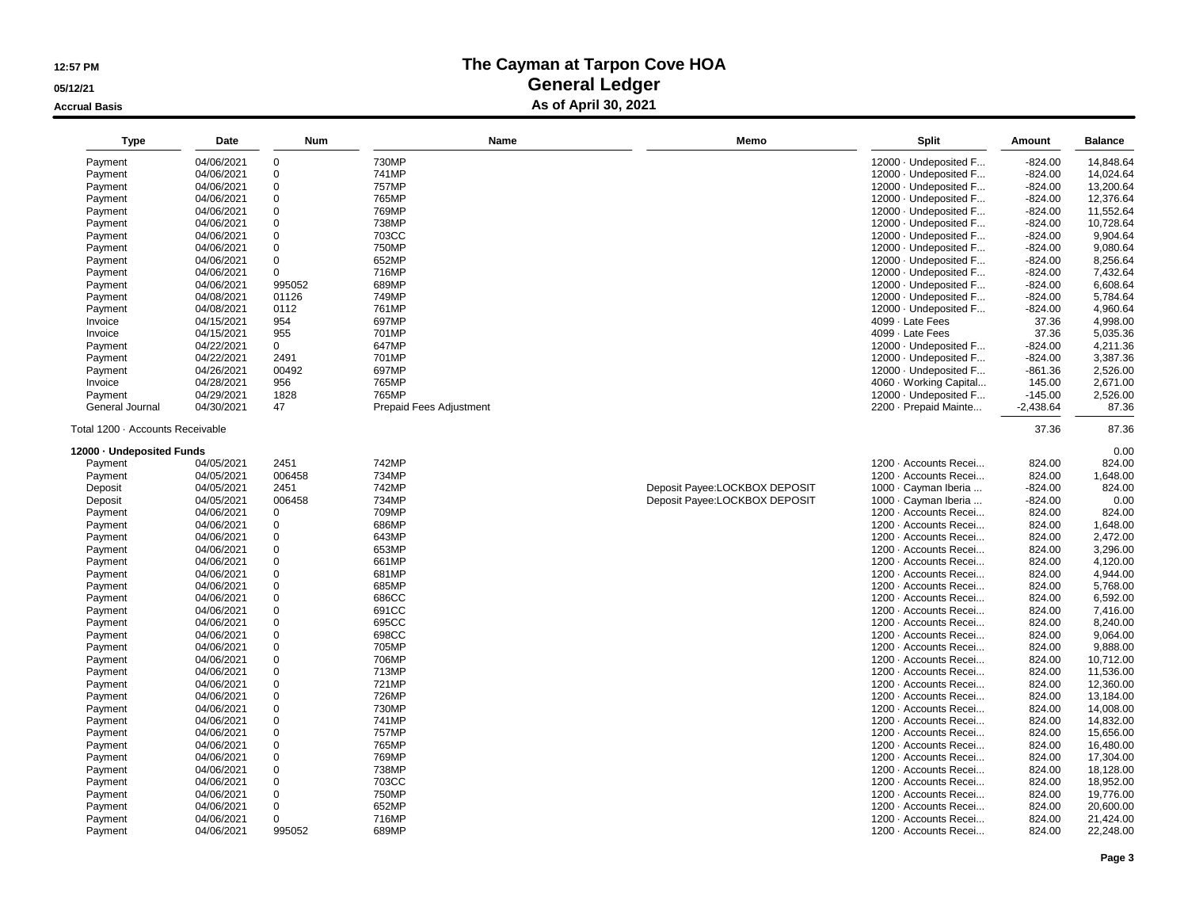#### **05/12/21**

**Accrual Basis**

| <b>Type</b>                      | Date                     | <b>Num</b>    | Name                           | Memo                          | Split                                          | Amount           | <b>Balance</b>         |
|----------------------------------|--------------------------|---------------|--------------------------------|-------------------------------|------------------------------------------------|------------------|------------------------|
| Payment                          | 04/06/2021               | $\mathbf 0$   | 730MP                          |                               | 12000 · Undeposited F                          | $-824.00$        | 14.848.64              |
| Payment                          | 04/06/2021               | $\mathbf 0$   | 741MP                          |                               | 12000 · Undeposited F                          | $-824.00$        | 14,024.64              |
| Payment                          | 04/06/2021               | $\mathbf 0$   | <b>757MP</b>                   |                               | 12000 · Undeposited F                          | $-824.00$        | 13,200.64              |
| Payment                          | 04/06/2021               | 0             | 765MP                          |                               | 12000 · Undeposited F                          | $-824.00$        | 12,376.64              |
| Payment                          | 04/06/2021               | $\mathbf 0$   | 769MP                          |                               | 12000 · Undeposited F                          | $-824.00$        | 11,552.64              |
| Payment                          | 04/06/2021               | 0             | 738MP                          |                               | 12000 · Undeposited F                          | $-824.00$        | 10,728.64              |
| Payment                          | 04/06/2021               | $\Omega$      | 703CC                          |                               | 12000 · Undeposited F                          | $-824.00$        | 9,904.64               |
| Payment                          | 04/06/2021               | $\Omega$      | 750MP                          |                               | 12000 · Undeposited F                          | $-824.00$        | 9,080.64               |
| Payment                          | 04/06/2021               | $\Omega$      | 652MP                          |                               | 12000 · Undeposited F                          | $-824.00$        | 8,256.64               |
| Payment                          | 04/06/2021               | 0             | 716MP                          |                               | 12000 · Undeposited F                          | $-824.00$        | 7,432.64               |
| Payment                          | 04/06/2021               | 995052        | 689MP                          |                               | 12000 · Undeposited F                          | $-824.00$        | 6,608.64               |
| Payment                          | 04/08/2021               | 01126         | 749MP                          |                               | 12000 · Undeposited F                          | $-824.00$        | 5,784.64               |
| Payment                          | 04/08/2021               | 0112          | 761MP                          |                               | 12000 · Undeposited F                          | $-824.00$        | 4,960.64               |
| Invoice                          | 04/15/2021               | 954           | 697MP                          |                               | 4099 · Late Fees                               | 37.36            | 4,998.00               |
| Invoice                          | 04/15/2021               | 955           | 701MP                          |                               | 4099 · Late Fees                               | 37.36            | 5,035.36               |
| Payment                          | 04/22/2021               | 0             | 647MP                          |                               | 12000 · Undeposited F                          | $-824.00$        | 4,211.36               |
| Payment                          | 04/22/2021               | 2491          | 701MP                          |                               | 12000 · Undeposited F                          | $-824.00$        | 3,387.36               |
| Payment                          | 04/26/2021               | 00492         | 697MP                          |                               | 12000 · Undeposited F                          | $-861.36$        | 2,526.00               |
| Invoice                          | 04/28/2021               | 956           | 765MP                          |                               | 4060 · Working Capital                         | 145.00           | 2,671.00               |
| Payment                          | 04/29/2021               | 1828          | 765MP                          |                               | 12000 · Undeposited F                          | $-145.00$        | 2,526.00               |
| General Journal                  | 04/30/2021               | 47            | <b>Prepaid Fees Adjustment</b> |                               | 2200 - Prepaid Mainte                          | $-2,438.64$      | 87.36                  |
| Total 1200 · Accounts Receivable |                          |               |                                |                               |                                                | 37.36            | 87.36                  |
| 12000 - Undeposited Funds        |                          |               |                                |                               |                                                |                  | 0.00                   |
| Payment                          | 04/05/2021               | 2451          | 742MP                          |                               | 1200 · Accounts Recei                          | 824.00           | 824.00                 |
| Payment                          | 04/05/2021               | 006458        | 734MP                          |                               | 1200 · Accounts Recei                          | 824.00           | 1,648.00               |
| Deposit                          | 04/05/2021               | 2451          | 742MP                          | Deposit Payee:LOCKBOX DEPOSIT | 1000 · Cayman Iberia                           | $-824.00$        | 824.00                 |
| Deposit                          | 04/05/2021               | 006458        | 734MP                          | Deposit Payee:LOCKBOX DEPOSIT | 1000 · Cayman Iberia                           | $-824.00$        | 0.00                   |
| Payment                          | 04/06/2021               | $\mathbf 0$   | 709MP                          |                               | 1200 · Accounts Recei                          | 824.00           | 824.00                 |
| Payment                          | 04/06/2021               | 0             | 686MP                          |                               | 1200 · Accounts Recei                          | 824.00           | 1,648.00               |
| Payment                          | 04/06/2021               | $\mathbf 0$   | 643MP                          |                               | 1200 · Accounts Recei                          | 824.00           | 2,472.00               |
| Payment                          | 04/06/2021               | 0             | 653MP                          |                               | 1200 · Accounts Recei                          | 824.00           | 3,296.00               |
| Payment                          | 04/06/2021               | $\mathbf 0$   | 661MP                          |                               | 1200 · Accounts Recei                          | 824.00           | 4,120.00               |
| Payment                          | 04/06/2021               | 0             | 681MP                          |                               | 1200 · Accounts Recei                          | 824.00           | 4,944.00               |
| Payment                          | 04/06/2021               | 0             | 685MP                          |                               | 1200 · Accounts Recei                          | 824.00           | 5,768.00               |
| Payment                          | 04/06/2021               | 0             | 686CC                          |                               | 1200 · Accounts Recei                          | 824.00           | 6,592.00               |
| Payment                          | 04/06/2021               | $\mathbf 0$   | 691CC                          |                               | 1200 · Accounts Recei                          | 824.00           | 7,416.00               |
| Payment                          | 04/06/2021               | 0             | 695CC                          |                               | 1200 · Accounts Recei                          | 824.00           | 8,240.00               |
| Payment                          | 04/06/2021               | 0             | 698CC                          |                               | 1200 · Accounts Recei                          | 824.00           | 9,064.00               |
| Payment                          | 04/06/2021               | 0             | 705MP                          |                               | 1200 · Accounts Recei                          | 824.00           | 9,888.00               |
| Payment                          | 04/06/2021               | $\mathbf 0$   | 706MP                          |                               | 1200 · Accounts Recei                          | 824.00           | 10,712.00              |
| Payment                          | 04/06/2021               | 0             | 713MP                          |                               | 1200 · Accounts Recei                          | 824.00           | 11,536.00              |
| Payment                          | 04/06/2021               | $\mathbf 0$   | 721MP                          |                               | 1200 · Accounts Recei                          | 824.00           | 12,360.00              |
| Payment                          | 04/06/2021               | $\mathbf 0$   | 726MP                          |                               | 1200 · Accounts Recei                          | 824.00           | 13,184.00              |
| Payment                          | 04/06/2021               | $\mathbf 0$   | 730MP                          |                               | 1200 · Accounts Recei                          | 824.00           | 14,008.00              |
| Payment                          | 04/06/2021               | 0             | 741MP                          |                               | 1200 · Accounts Recei                          | 824.00           | 14,832.00              |
| Payment                          | 04/06/2021               | $\mathbf 0$   | <b>757MP</b>                   |                               | 1200 · Accounts Recei                          | 824.00           | 15,656.00              |
|                                  |                          | 0             | 765MP                          |                               | 1200 · Accounts Recei                          |                  |                        |
| Payment<br>Payment               | 04/06/2021<br>04/06/2021 | $\mathbf 0$   | 769MP                          |                               | 1200 · Accounts Recei                          | 824.00           | 16,480.00<br>17,304.00 |
|                                  |                          |               |                                |                               |                                                | 824.00           |                        |
| Payment                          | 04/06/2021               | 0<br>$\Omega$ | 738MP                          |                               | 1200 · Accounts Recei                          | 824.00           | 18,128.00              |
| Payment                          | 04/06/2021               |               | 703CC                          |                               | 1200 · Accounts Recei                          | 824.00           | 18,952.00              |
| Payment                          | 04/06/2021               | 0             | 750MP                          |                               | 1200 · Accounts Recei                          | 824.00           | 19,776.00              |
| Payment                          | 04/06/2021               | $\mathbf 0$   | 652MP                          |                               | 1200 · Accounts Recei                          | 824.00           | 20,600.00              |
| Payment                          | 04/06/2021<br>04/06/2021 | 0             | 716MP<br>689MP                 |                               | 1200 · Accounts Recei<br>1200 · Accounts Recei | 824.00<br>824.00 | 21,424.00<br>22,248.00 |
| Payment                          |                          | 995052        |                                |                               |                                                |                  |                        |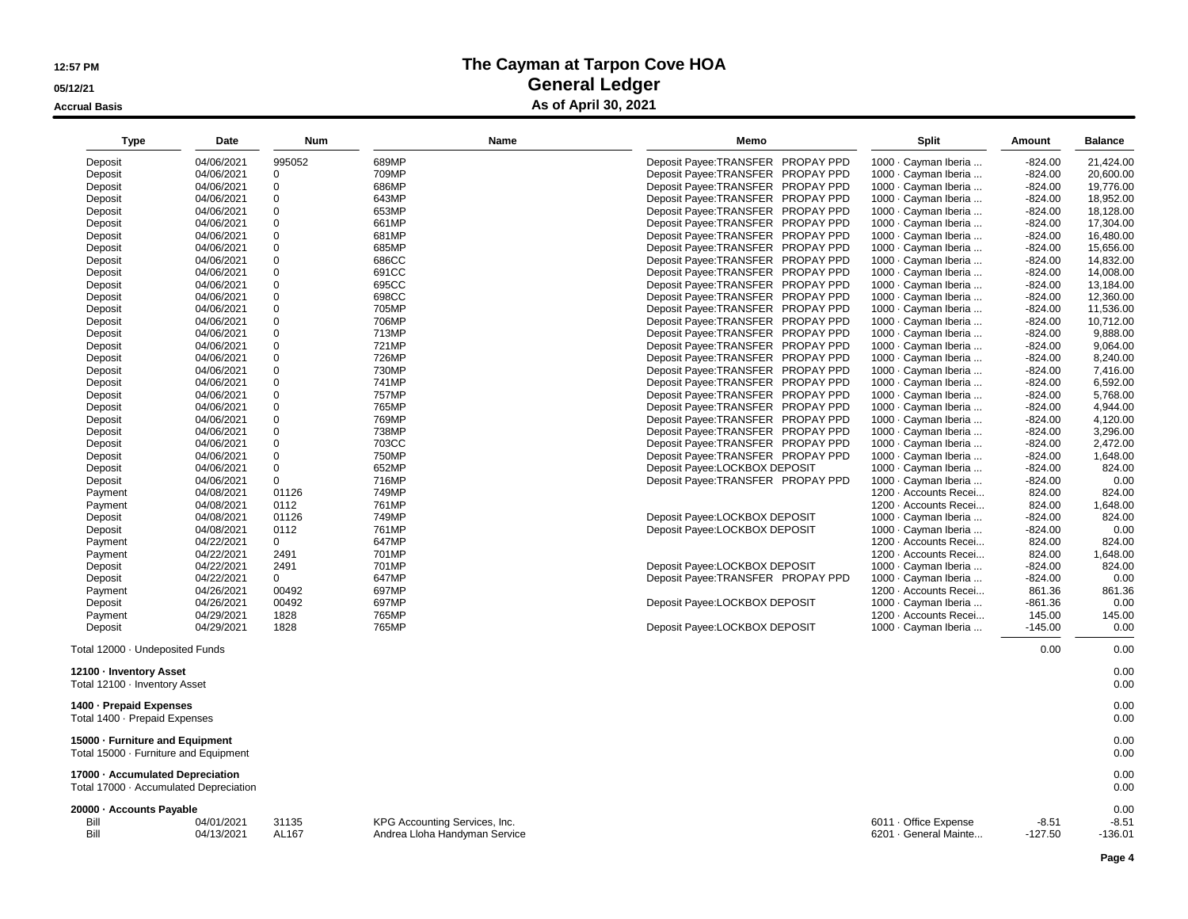**05/12/21**

**Accrual Basis**

#### **The Cayman at Tarpon Cove HOA General Ledger As of April 30, 2021**

| Type                            | Date       | <b>Num</b>  |       | Name | Memo                               | <b>Split</b>          | Amount    | <b>Balance</b> |
|---------------------------------|------------|-------------|-------|------|------------------------------------|-----------------------|-----------|----------------|
| Deposit                         | 04/06/2021 | 995052      | 689MP |      | Deposit Payee: TRANSFER PROPAY PPD | 1000 · Cayman Iberia  | $-824.00$ | 21,424.00      |
| Deposit                         | 04/06/2021 | 0           | 709MP |      | Deposit Payee:TRANSFER PROPAY PPD  | 1000 · Cayman Iberia  | $-824.00$ | 20,600.00      |
| Deposit                         | 04/06/2021 | $\mathbf 0$ | 686MP |      | Deposit Payee: TRANSFER PROPAY PPD | 1000 · Cayman Iberia  | $-824.00$ | 19,776.00      |
| Deposit                         | 04/06/2021 | 0           | 643MP |      | Deposit Payee:TRANSFER PROPAY PPD  | 1000 · Cayman Iberia  | $-824.00$ | 18,952.00      |
| Deposit                         | 04/06/2021 | 0           | 653MP |      | Deposit Payee:TRANSFER PROPAY PPD  | 1000 · Cayman Iberia  | $-824.00$ | 18,128.00      |
| Deposit                         | 04/06/2021 | 0           | 661MP |      | Deposit Payee: TRANSFER PROPAY PPD | 1000 · Cayman Iberia  | $-824.00$ | 17,304.00      |
| Deposit                         | 04/06/2021 | $\mathbf 0$ | 681MP |      | Deposit Payee: TRANSFER PROPAY PPD | 1000 · Cayman Iberia  | $-824.00$ | 16,480.00      |
| Deposit                         | 04/06/2021 | 0           | 685MP |      | Deposit Payee: TRANSFER PROPAY PPD | 1000 · Cayman Iberia  | $-824.00$ | 15,656.00      |
| Deposit                         | 04/06/2021 | $\mathbf 0$ | 686CC |      | Deposit Payee: TRANSFER PROPAY PPD | 1000 · Cayman Iberia  | $-824.00$ | 14,832.00      |
| Deposit                         | 04/06/2021 | 0           | 691CC |      | Deposit Payee: TRANSFER PROPAY PPD | 1000 · Cayman Iberia  | $-824.00$ | 14,008.00      |
| Deposit                         | 04/06/2021 | $\mathbf 0$ | 695CC |      | Deposit Payee: TRANSFER PROPAY PPD | 1000 · Cayman Iberia  | $-824.00$ | 13,184.00      |
| Deposit                         | 04/06/2021 | $\mathbf 0$ | 698CC |      | Deposit Payee:TRANSFER PROPAY PPD  | 1000 · Cayman Iberia  | -824.00   | 12,360.00      |
| Deposit                         | 04/06/2021 | 0           | 705MP |      | Deposit Payee: TRANSFER PROPAY PPD | 1000 · Cayman Iberia  | $-824.00$ | 11,536.00      |
| Deposit                         | 04/06/2021 | $\Omega$    | 706MP |      | Deposit Payee: TRANSFER PROPAY PPD | 1000 · Cayman Iberia  | $-824.00$ | 10,712.00      |
| Deposit                         | 04/06/2021 | 0           | 713MP |      | Deposit Payee: TRANSFER PROPAY PPD | 1000 · Cayman Iberia  | $-824.00$ | 9,888.00       |
| Deposit                         | 04/06/2021 | 0           | 721MP |      | Deposit Payee:TRANSFER PROPAY PPD  | 1000 · Cayman Iberia  | -824.00   | 9,064.00       |
| Deposit                         | 04/06/2021 | 0           | 726MP |      | Deposit Payee:TRANSFER PROPAY PPD  | 1000 · Cayman Iberia  | $-824.00$ | 8,240.00       |
| Deposit                         | 04/06/2021 | 0           | 730MP |      | Deposit Payee: TRANSFER PROPAY PPD | 1000 · Cayman Iberia  | $-824.00$ | 7,416.00       |
| Deposit                         | 04/06/2021 | 0           | 741MP |      | Deposit Payee:TRANSFER PROPAY PPD  | 1000 · Cayman Iberia  | $-824.00$ | 6,592.00       |
| Deposit                         | 04/06/2021 | 0           | 757MP |      | Deposit Payee:TRANSFER PROPAY PPD  | 1000 · Cayman Iberia  | $-824.00$ | 5,768.00       |
| Deposit                         | 04/06/2021 | 0           | 765MP |      | Deposit Payee: TRANSFER PROPAY PPD | 1000 · Cayman Iberia  | $-824.00$ | 4,944.00       |
| Deposit                         | 04/06/2021 | 0           | 769MP |      | Deposit Payee: TRANSFER PROPAY PPD | 1000 · Cayman Iberia  | $-824.00$ | 4,120.00       |
| Deposit                         | 04/06/2021 | 0           | 738MP |      | Deposit Payee: TRANSFER PROPAY PPD | 1000 · Cayman Iberia  | $-824.00$ | 3,296.00       |
| Deposit                         | 04/06/2021 | $\mathbf 0$ | 703CC |      | Deposit Payee: TRANSFER PROPAY PPD | 1000 · Cayman Iberia  | $-824.00$ | 2,472.00       |
| Deposit                         | 04/06/2021 | $\mathbf 0$ | 750MP |      | Deposit Payee:TRANSFER PROPAY PPD  | 1000 · Cayman Iberia  | -824.00   | 1,648.00       |
| Deposit                         | 04/06/2021 | 0           | 652MP |      | Deposit Payee:LOCKBOX DEPOSIT      | 1000 · Cayman Iberia  | $-824.00$ | 824.00         |
| Deposit                         | 04/06/2021 | 0           | 716MP |      | Deposit Payee:TRANSFER PROPAY PPD  | 1000 · Cayman Iberia  | $-824.00$ | 0.00           |
| Payment                         | 04/08/2021 | 01126       | 749MP |      |                                    | 1200 · Accounts Recei | 824.00    | 824.00         |
| Payment                         | 04/08/2021 | 0112        | 761MP |      |                                    | 1200 · Accounts Recei | 824.00    | 1,648.00       |
| Deposit                         | 04/08/2021 | 01126       | 749MP |      | Deposit Payee:LOCKBOX DEPOSIT      | 1000 · Cayman Iberia  | $-824.00$ | 824.00         |
| Deposit                         | 04/08/2021 | 0112        | 761MP |      | Deposit Payee:LOCKBOX DEPOSIT      | 1000 · Cayman Iberia  | $-824.00$ | 0.00           |
| Payment                         | 04/22/2021 | 0           | 647MP |      |                                    | 1200 · Accounts Recei | 824.00    | 824.00         |
| Payment                         | 04/22/2021 | 2491        | 701MP |      |                                    | 1200 · Accounts Recei | 824.00    | 1,648.00       |
| Deposit                         | 04/22/2021 | 2491        | 701MP |      | Deposit Payee:LOCKBOX DEPOSIT      | 1000 · Cayman Iberia  | $-824.00$ | 824.00         |
| Deposit                         | 04/22/2021 | 0           | 647MP |      | Deposit Payee: TRANSFER PROPAY PPD | 1000 · Cayman Iberia  | $-824.00$ | 0.00           |
| Payment                         | 04/26/2021 | 00492       | 697MP |      |                                    | 1200 · Accounts Recei | 861.36    | 861.36         |
| Deposit                         | 04/26/2021 | 00492       | 697MP |      | Deposit Payee:LOCKBOX DEPOSIT      | 1000 · Cayman Iberia  | $-861.36$ | 0.00           |
| Payment                         | 04/29/2021 | 1828        | 765MP |      |                                    | 1200 · Accounts Recei | 145.00    | 145.00         |
| Deposit                         | 04/29/2021 | 1828        | 765MP |      | Deposit Payee:LOCKBOX DEPOSIT      | 1000 · Cayman Iberia  | $-145.00$ | 0.00           |
| Total 12000 · Undeposited Funds |            |             |       |      |                                    |                       | 0.00      | 0.00           |
| 12100 - Inventory Asset         |            |             |       |      |                                    |                       |           | 0.00           |
| Total 12100 · Inventory Asset   |            |             |       |      |                                    |                       |           | 0.00           |

0.00

Total 12100 · Inventory Asset**1400 · Prepaid Expenses** $\mathbf{s}$ Total 1400 · Prepaid Expenses $\sim$  0.00

**15000 · Furniture and Equipment** 0.00Total 15000 · Furniture and Equipment0.00

**17000 · Accumulated Depreciation**

 $\frac{0.00}{0.000}$ Total 17000 · Accumulated Depreciation $n = 0.00$ 

#### **20000 · Accounts Payable**

| 0000 - Accounts Payable |            |       |                               |                                    |       |              |
|-------------------------|------------|-------|-------------------------------|------------------------------------|-------|--------------|
| Bill                    | 04/01/2021 | 31135 | KPG Accounting Services, Inc. | Office Expense<br>$6011 -$         | -8.51 | n r.<br>-8.5 |
| Bill                    | 04/13/2021 | AL167 | Andrea Lloha Handyman Service | 6201 · General Mainte<br>$-127.50$ |       | 136.01       |

 $-136.01$ 

 $0.00$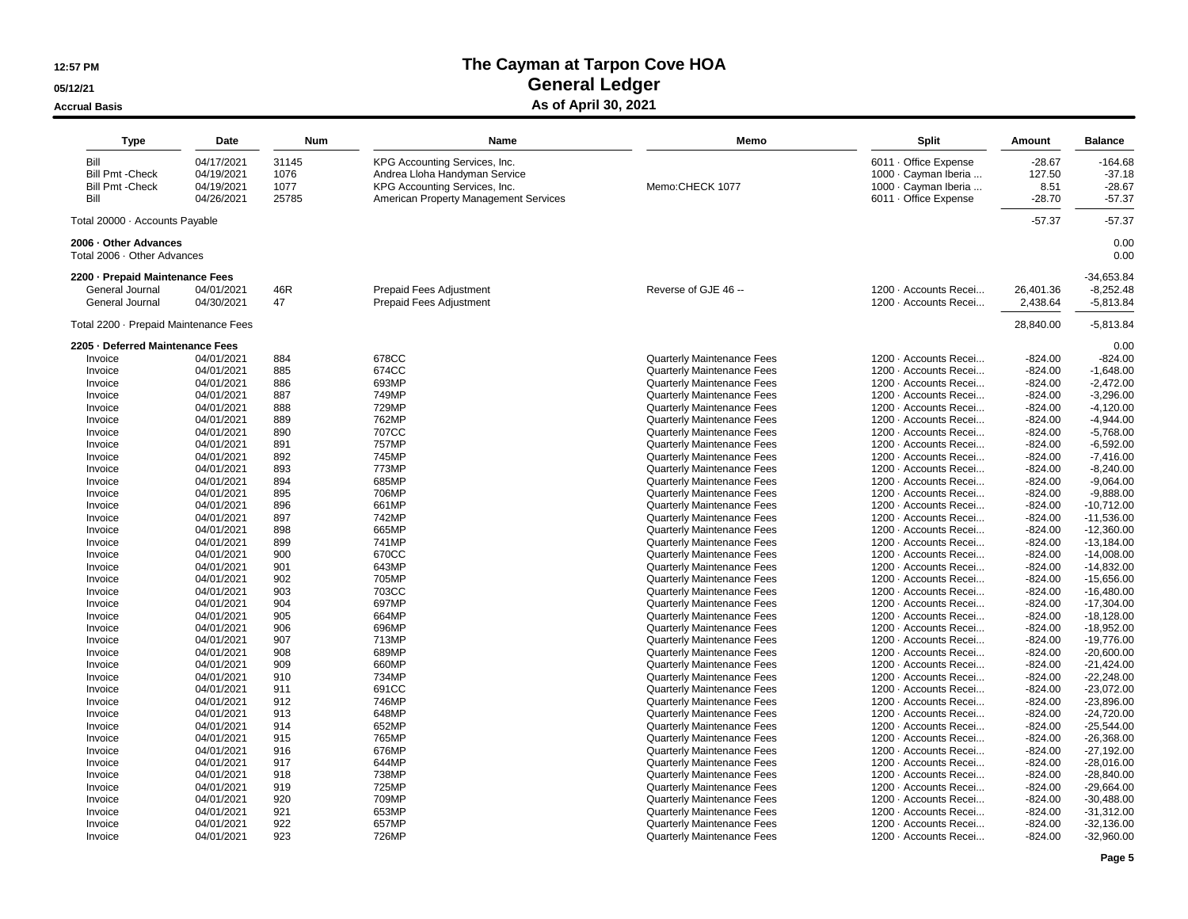#### **05/12/21**

#### **Accrual Basis**

## **The Cayman at Tarpon Cove HOAGeneral Ledger**

#### **As of April 30, 2021**

| Bill<br>04/17/2021<br>31145<br>KPG Accounting Services, Inc.<br>6011 · Office Expense<br>$-28.67$<br><b>Bill Pmt -Check</b><br>04/19/2021<br>1076<br>Andrea Lloha Handyman Service<br>1000 · Cayman Iberia<br>127.50<br>1077<br>Memo:CHECK 1077<br>1000 · Cayman Iberia<br><b>Bill Pmt - Check</b><br>04/19/2021<br>KPG Accounting Services, Inc.<br>8.51<br>25785<br>Bill<br>04/26/2021<br><b>American Property Management Services</b><br>6011 · Office Expense<br>$-28.70$<br>$-57.37$<br>$-57.37$<br>Total 20000 · Accounts Payable<br>0.00<br>2006 - Other Advances<br>Total 2006 · Other Advances<br>2200 - Prepaid Maintenance Fees<br>46R<br>General Journal<br>04/01/2021<br><b>Prepaid Fees Adjustment</b><br>Reverse of GJE 46 --<br>1200 · Accounts Recei<br>26,401.36<br>04/30/2021<br>47<br>2,438.64<br>$-5,813.84$<br>General Journal<br>Prepaid Fees Adjustment<br>1200 · Accounts Recei<br>Total 2200 · Prepaid Maintenance Fees<br>28,840.00<br>2205 - Deferred Maintenance Fees<br>884<br>678CC<br>$-824.00$<br>Invoice<br>04/01/2021<br><b>Quarterly Maintenance Fees</b><br>1200 · Accounts Recei<br>$-824.00$<br>885<br>04/01/2021<br>674CC<br><b>Quarterly Maintenance Fees</b><br>$-824.00$<br>$-1,648.00$<br>Invoice<br>1200 · Accounts Recei<br>886<br>693MP<br>Quarterly Maintenance Fees<br>$-2,472.00$<br>Invoice<br>04/01/2021<br>1200 · Accounts Recei<br>$-824.00$<br>887<br>749MP<br>$-3,296.00$<br>Invoice<br>04/01/2021<br><b>Quarterly Maintenance Fees</b><br>1200 · Accounts Recei<br>$-824.00$<br>04/01/2021<br>888<br>729MP<br><b>Quarterly Maintenance Fees</b><br>1200 · Accounts Recei<br>$-824.00$<br>$-4,120.00$<br>Invoice<br>04/01/2021<br>889<br>762MP<br><b>Quarterly Maintenance Fees</b><br>1200 · Accounts Recei<br>$-824.00$<br>$-4,944.00$<br>Invoice<br>890<br>707CC<br>Quarterly Maintenance Fees<br>1200 · Accounts Recei<br>$-5,768.00$<br>Invoice<br>04/01/2021<br>$-824.00$<br>04/01/2021<br>891<br>757MP<br>Quarterly Maintenance Fees<br>$-824.00$<br>$-6,592.00$<br>Invoice<br>1200 · Accounts Recei<br>892<br>745MP<br>04/01/2021<br><b>Quarterly Maintenance Fees</b><br>1200 · Accounts Recei<br>$-824.00$<br>$-7,416.00$<br>Invoice<br>04/01/2021<br>893<br>773MP<br><b>Quarterly Maintenance Fees</b><br>1200 · Accounts Recei<br>$-824.00$<br>$-8,240.00$<br>Invoice<br>894<br>685MP<br><b>Quarterly Maintenance Fees</b><br>$-9,064.00$<br>04/01/2021<br>1200 · Accounts Recei<br>$-824.00$<br>Invoice<br>895<br>$-9,888.00$<br>04/01/2021<br>706MP<br><b>Quarterly Maintenance Fees</b><br>1200 · Accounts Recei<br>$-824.00$<br>Invoice<br>896<br>661MP<br>04/01/2021<br><b>Quarterly Maintenance Fees</b><br>1200 · Accounts Recei<br>$-824.00$<br>$-10,712.00$<br>Invoice<br>04/01/2021<br>897<br>742MP<br><b>Quarterly Maintenance Fees</b><br>1200 · Accounts Recei<br>$-11,536.00$<br>$-824.00$<br>Invoice<br>898<br>665MP<br>Quarterly Maintenance Fees<br>1200 - Accounts Recei<br>04/01/2021<br>$-824.00$<br>$-12,360.00$<br>Invoice<br>899<br>741MP<br><b>Quarterly Maintenance Fees</b><br>1200 · Accounts Recei<br>$-824.00$<br>$-13,184.00$<br>Invoice<br>04/01/2021<br>900<br>670CC<br>Quarterly Maintenance Fees<br>$-824.00$<br>$-14,008.00$<br>Invoice<br>04/01/2021<br>1200 · Accounts Recei<br>901<br>643MP<br>Quarterly Maintenance Fees<br>$-14,832.00$<br>Invoice<br>04/01/2021<br>1200 · Accounts Recei<br>$-824.00$<br>902<br>705MP<br>04/01/2021<br>Quarterly Maintenance Fees<br>1200 · Accounts Recei<br>$-824.00$<br>$-15,656.00$<br>Invoice<br>04/01/2021<br>903<br>703CC<br><b>Quarterly Maintenance Fees</b><br>1200 · Accounts Recei<br>$-824.00$<br>$-16,480.00$<br>Invoice<br>04/01/2021<br>904<br>697MP<br>Quarterly Maintenance Fees<br>1200 · Accounts Recei<br>$-824.00$<br>$-17,304.00$<br>Invoice<br>905<br>664MP<br>Quarterly Maintenance Fees<br>1200 · Accounts Recei<br>$-824.00$<br>$-18,128.00$<br>Invoice<br>04/01/2021<br>$-18,952.00$<br>04/01/2021<br>906<br>696MP<br>Quarterly Maintenance Fees<br>1200 · Accounts Recei<br>$-824.00$<br>Invoice<br>04/01/2021<br>907<br>713MP<br><b>Quarterly Maintenance Fees</b><br>1200 · Accounts Recei<br>$-824.00$<br>$-19,776.00$<br>Invoice<br>04/01/2021<br>908<br>689MP<br><b>Quarterly Maintenance Fees</b><br>1200 · Accounts Recei<br>$-824.00$<br>$-20,600.00$<br>Invoice<br>04/01/2021<br>909<br>660MP<br><b>Quarterly Maintenance Fees</b><br>1200 · Accounts Recei<br>$-824.00$<br>$-21,424.00$<br>Invoice<br>734MP<br><b>Quarterly Maintenance Fees</b><br>$-22.248.00$<br>04/01/2021<br>910<br>1200 · Accounts Recei<br>$-824.00$<br>Invoice<br>911<br>691CC<br><b>Quarterly Maintenance Fees</b><br>1200 · Accounts Recei<br>$-23,072.00$<br>04/01/2021<br>$-824.00$<br>Invoice<br>746MP<br>$-23,896.00$<br>04/01/2021<br>912<br><b>Quarterly Maintenance Fees</b><br>1200 · Accounts Recei<br>$-824.00$<br>Invoice<br>913<br>648MP<br>1200 · Accounts Recei<br>$-24,720.00$<br>04/01/2021<br><b>Quarterly Maintenance Fees</b><br>$-824.00$<br>Invoice<br>04/01/2021<br>914<br>652MP<br><b>Quarterly Maintenance Fees</b><br>1200 · Accounts Recei<br>$-824.00$<br>$-25,544.00$<br>Invoice<br>915<br>765MP<br>Invoice<br>04/01/2021<br><b>Quarterly Maintenance Fees</b><br>1200 · Accounts Recei<br>$-824.00$<br>$-26,368.00$<br>916<br>676MP<br>Quarterly Maintenance Fees<br>$-27,192.00$<br>Invoice<br>04/01/2021<br>1200 · Accounts Recei<br>$-824.00$<br>917<br>644MP<br>04/01/2021<br><b>Quarterly Maintenance Fees</b><br>1200 · Accounts Recei<br>$-824.00$<br>$-28,016.00$<br>Invoice<br>04/01/2021<br>918<br>738MP<br><b>Quarterly Maintenance Fees</b><br>1200 · Accounts Recei<br>$-824.00$<br>$-28,840.00$<br>Invoice<br>919<br>725MP<br>Quarterly Maintenance Fees<br>$-824.00$<br>$-29,664.00$<br>Invoice<br>04/01/2021<br>1200 · Accounts Recei<br>920<br>709MP<br>04/01/2021<br><b>Quarterly Maintenance Fees</b><br>1200 · Accounts Recei<br>$-824.00$<br>$-30,488.00$<br>Invoice<br>921<br>653MP<br>04/01/2021<br><b>Quarterly Maintenance Fees</b><br>1200 · Accounts Recei<br>$-824.00$<br>$-31,312.00$<br>Invoice<br>922<br>04/01/2021<br>657MP<br><b>Quarterly Maintenance Fees</b><br>1200 · Accounts Recei<br>$-824.00$<br>$-32,136.00$<br>Invoice<br>04/01/2021<br>923<br>726MP<br>$-824.00$<br><b>Quarterly Maintenance Fees</b><br>1200 · Accounts Recei<br>Invoice | <b>Type</b> | <b>Date</b> | <b>Num</b> | Name | Memo | <b>Split</b> | Amount | <b>Balance</b>                                |
|----------------------------------------------------------------------------------------------------------------------------------------------------------------------------------------------------------------------------------------------------------------------------------------------------------------------------------------------------------------------------------------------------------------------------------------------------------------------------------------------------------------------------------------------------------------------------------------------------------------------------------------------------------------------------------------------------------------------------------------------------------------------------------------------------------------------------------------------------------------------------------------------------------------------------------------------------------------------------------------------------------------------------------------------------------------------------------------------------------------------------------------------------------------------------------------------------------------------------------------------------------------------------------------------------------------------------------------------------------------------------------------------------------------------------------------------------------------------------------------------------------------------------------------------------------------------------------------------------------------------------------------------------------------------------------------------------------------------------------------------------------------------------------------------------------------------------------------------------------------------------------------------------------------------------------------------------------------------------------------------------------------------------------------------------------------------------------------------------------------------------------------------------------------------------------------------------------------------------------------------------------------------------------------------------------------------------------------------------------------------------------------------------------------------------------------------------------------------------------------------------------------------------------------------------------------------------------------------------------------------------------------------------------------------------------------------------------------------------------------------------------------------------------------------------------------------------------------------------------------------------------------------------------------------------------------------------------------------------------------------------------------------------------------------------------------------------------------------------------------------------------------------------------------------------------------------------------------------------------------------------------------------------------------------------------------------------------------------------------------------------------------------------------------------------------------------------------------------------------------------------------------------------------------------------------------------------------------------------------------------------------------------------------------------------------------------------------------------------------------------------------------------------------------------------------------------------------------------------------------------------------------------------------------------------------------------------------------------------------------------------------------------------------------------------------------------------------------------------------------------------------------------------------------------------------------------------------------------------------------------------------------------------------------------------------------------------------------------------------------------------------------------------------------------------------------------------------------------------------------------------------------------------------------------------------------------------------------------------------------------------------------------------------------------------------------------------------------------------------------------------------------------------------------------------------------------------------------------------------------------------------------------------------------------------------------------------------------------------------------------------------------------------------------------------------------------------------------------------------------------------------------------------------------------------------------------------------------------------------------------------------------------------------------------------------------------------------------------------------------------------------------------------------------------------------------------------------------------------------------------------------------------------------------------------------------------------------------------------------------------------------------------------------------------------------------------------------------------------------------------------------------------------------------------------------------------------------------------------------------------------------------------------------------------------------------------------------------------------------------------------------------------------------------------------------------------------------------------------------------------------------------------------------------------------------------------------------------------------------------------------------------------------------------------------------------------------------------------------------------------------------|-------------|-------------|------------|------|------|--------------|--------|-----------------------------------------------|
|                                                                                                                                                                                                                                                                                                                                                                                                                                                                                                                                                                                                                                                                                                                                                                                                                                                                                                                                                                                                                                                                                                                                                                                                                                                                                                                                                                                                                                                                                                                                                                                                                                                                                                                                                                                                                                                                                                                                                                                                                                                                                                                                                                                                                                                                                                                                                                                                                                                                                                                                                                                                                                                                                                                                                                                                                                                                                                                                                                                                                                                                                                                                                                                                                                                                                                                                                                                                                                                                                                                                                                                                                                                                                                                                                                                                                                                                                                                                                                                                                                                                                                                                                                                                                                                                                                                                                                                                                                                                                                                                                                                                                                                                                                                                                                                                                                                                                                                                                                                                                                                                                                                                                                                                                                                                                                                                                                                                                                                                                                                                                                                                                                                                                                                                                                                                                                                                                                                                                                                                                                                                                                                                                                                                                                                                                                                                                                                  |             |             |            |      |      |              |        | $-164.68$<br>$-37.18$<br>$-28.67$<br>$-57.37$ |
|                                                                                                                                                                                                                                                                                                                                                                                                                                                                                                                                                                                                                                                                                                                                                                                                                                                                                                                                                                                                                                                                                                                                                                                                                                                                                                                                                                                                                                                                                                                                                                                                                                                                                                                                                                                                                                                                                                                                                                                                                                                                                                                                                                                                                                                                                                                                                                                                                                                                                                                                                                                                                                                                                                                                                                                                                                                                                                                                                                                                                                                                                                                                                                                                                                                                                                                                                                                                                                                                                                                                                                                                                                                                                                                                                                                                                                                                                                                                                                                                                                                                                                                                                                                                                                                                                                                                                                                                                                                                                                                                                                                                                                                                                                                                                                                                                                                                                                                                                                                                                                                                                                                                                                                                                                                                                                                                                                                                                                                                                                                                                                                                                                                                                                                                                                                                                                                                                                                                                                                                                                                                                                                                                                                                                                                                                                                                                                                  |             |             |            |      |      |              |        |                                               |
|                                                                                                                                                                                                                                                                                                                                                                                                                                                                                                                                                                                                                                                                                                                                                                                                                                                                                                                                                                                                                                                                                                                                                                                                                                                                                                                                                                                                                                                                                                                                                                                                                                                                                                                                                                                                                                                                                                                                                                                                                                                                                                                                                                                                                                                                                                                                                                                                                                                                                                                                                                                                                                                                                                                                                                                                                                                                                                                                                                                                                                                                                                                                                                                                                                                                                                                                                                                                                                                                                                                                                                                                                                                                                                                                                                                                                                                                                                                                                                                                                                                                                                                                                                                                                                                                                                                                                                                                                                                                                                                                                                                                                                                                                                                                                                                                                                                                                                                                                                                                                                                                                                                                                                                                                                                                                                                                                                                                                                                                                                                                                                                                                                                                                                                                                                                                                                                                                                                                                                                                                                                                                                                                                                                                                                                                                                                                                                                  |             |             |            |      |      |              |        |                                               |
|                                                                                                                                                                                                                                                                                                                                                                                                                                                                                                                                                                                                                                                                                                                                                                                                                                                                                                                                                                                                                                                                                                                                                                                                                                                                                                                                                                                                                                                                                                                                                                                                                                                                                                                                                                                                                                                                                                                                                                                                                                                                                                                                                                                                                                                                                                                                                                                                                                                                                                                                                                                                                                                                                                                                                                                                                                                                                                                                                                                                                                                                                                                                                                                                                                                                                                                                                                                                                                                                                                                                                                                                                                                                                                                                                                                                                                                                                                                                                                                                                                                                                                                                                                                                                                                                                                                                                                                                                                                                                                                                                                                                                                                                                                                                                                                                                                                                                                                                                                                                                                                                                                                                                                                                                                                                                                                                                                                                                                                                                                                                                                                                                                                                                                                                                                                                                                                                                                                                                                                                                                                                                                                                                                                                                                                                                                                                                                                  |             |             |            |      |      |              |        | 0.00                                          |
|                                                                                                                                                                                                                                                                                                                                                                                                                                                                                                                                                                                                                                                                                                                                                                                                                                                                                                                                                                                                                                                                                                                                                                                                                                                                                                                                                                                                                                                                                                                                                                                                                                                                                                                                                                                                                                                                                                                                                                                                                                                                                                                                                                                                                                                                                                                                                                                                                                                                                                                                                                                                                                                                                                                                                                                                                                                                                                                                                                                                                                                                                                                                                                                                                                                                                                                                                                                                                                                                                                                                                                                                                                                                                                                                                                                                                                                                                                                                                                                                                                                                                                                                                                                                                                                                                                                                                                                                                                                                                                                                                                                                                                                                                                                                                                                                                                                                                                                                                                                                                                                                                                                                                                                                                                                                                                                                                                                                                                                                                                                                                                                                                                                                                                                                                                                                                                                                                                                                                                                                                                                                                                                                                                                                                                                                                                                                                                                  |             |             |            |      |      |              |        | $-34,653.84$                                  |
|                                                                                                                                                                                                                                                                                                                                                                                                                                                                                                                                                                                                                                                                                                                                                                                                                                                                                                                                                                                                                                                                                                                                                                                                                                                                                                                                                                                                                                                                                                                                                                                                                                                                                                                                                                                                                                                                                                                                                                                                                                                                                                                                                                                                                                                                                                                                                                                                                                                                                                                                                                                                                                                                                                                                                                                                                                                                                                                                                                                                                                                                                                                                                                                                                                                                                                                                                                                                                                                                                                                                                                                                                                                                                                                                                                                                                                                                                                                                                                                                                                                                                                                                                                                                                                                                                                                                                                                                                                                                                                                                                                                                                                                                                                                                                                                                                                                                                                                                                                                                                                                                                                                                                                                                                                                                                                                                                                                                                                                                                                                                                                                                                                                                                                                                                                                                                                                                                                                                                                                                                                                                                                                                                                                                                                                                                                                                                                                  |             |             |            |      |      |              |        | $-8,252.48$                                   |
|                                                                                                                                                                                                                                                                                                                                                                                                                                                                                                                                                                                                                                                                                                                                                                                                                                                                                                                                                                                                                                                                                                                                                                                                                                                                                                                                                                                                                                                                                                                                                                                                                                                                                                                                                                                                                                                                                                                                                                                                                                                                                                                                                                                                                                                                                                                                                                                                                                                                                                                                                                                                                                                                                                                                                                                                                                                                                                                                                                                                                                                                                                                                                                                                                                                                                                                                                                                                                                                                                                                                                                                                                                                                                                                                                                                                                                                                                                                                                                                                                                                                                                                                                                                                                                                                                                                                                                                                                                                                                                                                                                                                                                                                                                                                                                                                                                                                                                                                                                                                                                                                                                                                                                                                                                                                                                                                                                                                                                                                                                                                                                                                                                                                                                                                                                                                                                                                                                                                                                                                                                                                                                                                                                                                                                                                                                                                                                                  |             |             |            |      |      |              |        |                                               |
|                                                                                                                                                                                                                                                                                                                                                                                                                                                                                                                                                                                                                                                                                                                                                                                                                                                                                                                                                                                                                                                                                                                                                                                                                                                                                                                                                                                                                                                                                                                                                                                                                                                                                                                                                                                                                                                                                                                                                                                                                                                                                                                                                                                                                                                                                                                                                                                                                                                                                                                                                                                                                                                                                                                                                                                                                                                                                                                                                                                                                                                                                                                                                                                                                                                                                                                                                                                                                                                                                                                                                                                                                                                                                                                                                                                                                                                                                                                                                                                                                                                                                                                                                                                                                                                                                                                                                                                                                                                                                                                                                                                                                                                                                                                                                                                                                                                                                                                                                                                                                                                                                                                                                                                                                                                                                                                                                                                                                                                                                                                                                                                                                                                                                                                                                                                                                                                                                                                                                                                                                                                                                                                                                                                                                                                                                                                                                                                  |             |             |            |      |      |              |        | $-5,813.84$                                   |
|                                                                                                                                                                                                                                                                                                                                                                                                                                                                                                                                                                                                                                                                                                                                                                                                                                                                                                                                                                                                                                                                                                                                                                                                                                                                                                                                                                                                                                                                                                                                                                                                                                                                                                                                                                                                                                                                                                                                                                                                                                                                                                                                                                                                                                                                                                                                                                                                                                                                                                                                                                                                                                                                                                                                                                                                                                                                                                                                                                                                                                                                                                                                                                                                                                                                                                                                                                                                                                                                                                                                                                                                                                                                                                                                                                                                                                                                                                                                                                                                                                                                                                                                                                                                                                                                                                                                                                                                                                                                                                                                                                                                                                                                                                                                                                                                                                                                                                                                                                                                                                                                                                                                                                                                                                                                                                                                                                                                                                                                                                                                                                                                                                                                                                                                                                                                                                                                                                                                                                                                                                                                                                                                                                                                                                                                                                                                                                                  |             |             |            |      |      |              |        | 0.00                                          |
|                                                                                                                                                                                                                                                                                                                                                                                                                                                                                                                                                                                                                                                                                                                                                                                                                                                                                                                                                                                                                                                                                                                                                                                                                                                                                                                                                                                                                                                                                                                                                                                                                                                                                                                                                                                                                                                                                                                                                                                                                                                                                                                                                                                                                                                                                                                                                                                                                                                                                                                                                                                                                                                                                                                                                                                                                                                                                                                                                                                                                                                                                                                                                                                                                                                                                                                                                                                                                                                                                                                                                                                                                                                                                                                                                                                                                                                                                                                                                                                                                                                                                                                                                                                                                                                                                                                                                                                                                                                                                                                                                                                                                                                                                                                                                                                                                                                                                                                                                                                                                                                                                                                                                                                                                                                                                                                                                                                                                                                                                                                                                                                                                                                                                                                                                                                                                                                                                                                                                                                                                                                                                                                                                                                                                                                                                                                                                                                  |             |             |            |      |      |              |        |                                               |
|                                                                                                                                                                                                                                                                                                                                                                                                                                                                                                                                                                                                                                                                                                                                                                                                                                                                                                                                                                                                                                                                                                                                                                                                                                                                                                                                                                                                                                                                                                                                                                                                                                                                                                                                                                                                                                                                                                                                                                                                                                                                                                                                                                                                                                                                                                                                                                                                                                                                                                                                                                                                                                                                                                                                                                                                                                                                                                                                                                                                                                                                                                                                                                                                                                                                                                                                                                                                                                                                                                                                                                                                                                                                                                                                                                                                                                                                                                                                                                                                                                                                                                                                                                                                                                                                                                                                                                                                                                                                                                                                                                                                                                                                                                                                                                                                                                                                                                                                                                                                                                                                                                                                                                                                                                                                                                                                                                                                                                                                                                                                                                                                                                                                                                                                                                                                                                                                                                                                                                                                                                                                                                                                                                                                                                                                                                                                                                                  |             |             |            |      |      |              |        |                                               |
|                                                                                                                                                                                                                                                                                                                                                                                                                                                                                                                                                                                                                                                                                                                                                                                                                                                                                                                                                                                                                                                                                                                                                                                                                                                                                                                                                                                                                                                                                                                                                                                                                                                                                                                                                                                                                                                                                                                                                                                                                                                                                                                                                                                                                                                                                                                                                                                                                                                                                                                                                                                                                                                                                                                                                                                                                                                                                                                                                                                                                                                                                                                                                                                                                                                                                                                                                                                                                                                                                                                                                                                                                                                                                                                                                                                                                                                                                                                                                                                                                                                                                                                                                                                                                                                                                                                                                                                                                                                                                                                                                                                                                                                                                                                                                                                                                                                                                                                                                                                                                                                                                                                                                                                                                                                                                                                                                                                                                                                                                                                                                                                                                                                                                                                                                                                                                                                                                                                                                                                                                                                                                                                                                                                                                                                                                                                                                                                  |             |             |            |      |      |              |        |                                               |
|                                                                                                                                                                                                                                                                                                                                                                                                                                                                                                                                                                                                                                                                                                                                                                                                                                                                                                                                                                                                                                                                                                                                                                                                                                                                                                                                                                                                                                                                                                                                                                                                                                                                                                                                                                                                                                                                                                                                                                                                                                                                                                                                                                                                                                                                                                                                                                                                                                                                                                                                                                                                                                                                                                                                                                                                                                                                                                                                                                                                                                                                                                                                                                                                                                                                                                                                                                                                                                                                                                                                                                                                                                                                                                                                                                                                                                                                                                                                                                                                                                                                                                                                                                                                                                                                                                                                                                                                                                                                                                                                                                                                                                                                                                                                                                                                                                                                                                                                                                                                                                                                                                                                                                                                                                                                                                                                                                                                                                                                                                                                                                                                                                                                                                                                                                                                                                                                                                                                                                                                                                                                                                                                                                                                                                                                                                                                                                                  |             |             |            |      |      |              |        |                                               |
|                                                                                                                                                                                                                                                                                                                                                                                                                                                                                                                                                                                                                                                                                                                                                                                                                                                                                                                                                                                                                                                                                                                                                                                                                                                                                                                                                                                                                                                                                                                                                                                                                                                                                                                                                                                                                                                                                                                                                                                                                                                                                                                                                                                                                                                                                                                                                                                                                                                                                                                                                                                                                                                                                                                                                                                                                                                                                                                                                                                                                                                                                                                                                                                                                                                                                                                                                                                                                                                                                                                                                                                                                                                                                                                                                                                                                                                                                                                                                                                                                                                                                                                                                                                                                                                                                                                                                                                                                                                                                                                                                                                                                                                                                                                                                                                                                                                                                                                                                                                                                                                                                                                                                                                                                                                                                                                                                                                                                                                                                                                                                                                                                                                                                                                                                                                                                                                                                                                                                                                                                                                                                                                                                                                                                                                                                                                                                                                  |             |             |            |      |      |              |        |                                               |
|                                                                                                                                                                                                                                                                                                                                                                                                                                                                                                                                                                                                                                                                                                                                                                                                                                                                                                                                                                                                                                                                                                                                                                                                                                                                                                                                                                                                                                                                                                                                                                                                                                                                                                                                                                                                                                                                                                                                                                                                                                                                                                                                                                                                                                                                                                                                                                                                                                                                                                                                                                                                                                                                                                                                                                                                                                                                                                                                                                                                                                                                                                                                                                                                                                                                                                                                                                                                                                                                                                                                                                                                                                                                                                                                                                                                                                                                                                                                                                                                                                                                                                                                                                                                                                                                                                                                                                                                                                                                                                                                                                                                                                                                                                                                                                                                                                                                                                                                                                                                                                                                                                                                                                                                                                                                                                                                                                                                                                                                                                                                                                                                                                                                                                                                                                                                                                                                                                                                                                                                                                                                                                                                                                                                                                                                                                                                                                                  |             |             |            |      |      |              |        |                                               |
|                                                                                                                                                                                                                                                                                                                                                                                                                                                                                                                                                                                                                                                                                                                                                                                                                                                                                                                                                                                                                                                                                                                                                                                                                                                                                                                                                                                                                                                                                                                                                                                                                                                                                                                                                                                                                                                                                                                                                                                                                                                                                                                                                                                                                                                                                                                                                                                                                                                                                                                                                                                                                                                                                                                                                                                                                                                                                                                                                                                                                                                                                                                                                                                                                                                                                                                                                                                                                                                                                                                                                                                                                                                                                                                                                                                                                                                                                                                                                                                                                                                                                                                                                                                                                                                                                                                                                                                                                                                                                                                                                                                                                                                                                                                                                                                                                                                                                                                                                                                                                                                                                                                                                                                                                                                                                                                                                                                                                                                                                                                                                                                                                                                                                                                                                                                                                                                                                                                                                                                                                                                                                                                                                                                                                                                                                                                                                                                  |             |             |            |      |      |              |        |                                               |
|                                                                                                                                                                                                                                                                                                                                                                                                                                                                                                                                                                                                                                                                                                                                                                                                                                                                                                                                                                                                                                                                                                                                                                                                                                                                                                                                                                                                                                                                                                                                                                                                                                                                                                                                                                                                                                                                                                                                                                                                                                                                                                                                                                                                                                                                                                                                                                                                                                                                                                                                                                                                                                                                                                                                                                                                                                                                                                                                                                                                                                                                                                                                                                                                                                                                                                                                                                                                                                                                                                                                                                                                                                                                                                                                                                                                                                                                                                                                                                                                                                                                                                                                                                                                                                                                                                                                                                                                                                                                                                                                                                                                                                                                                                                                                                                                                                                                                                                                                                                                                                                                                                                                                                                                                                                                                                                                                                                                                                                                                                                                                                                                                                                                                                                                                                                                                                                                                                                                                                                                                                                                                                                                                                                                                                                                                                                                                                                  |             |             |            |      |      |              |        |                                               |
|                                                                                                                                                                                                                                                                                                                                                                                                                                                                                                                                                                                                                                                                                                                                                                                                                                                                                                                                                                                                                                                                                                                                                                                                                                                                                                                                                                                                                                                                                                                                                                                                                                                                                                                                                                                                                                                                                                                                                                                                                                                                                                                                                                                                                                                                                                                                                                                                                                                                                                                                                                                                                                                                                                                                                                                                                                                                                                                                                                                                                                                                                                                                                                                                                                                                                                                                                                                                                                                                                                                                                                                                                                                                                                                                                                                                                                                                                                                                                                                                                                                                                                                                                                                                                                                                                                                                                                                                                                                                                                                                                                                                                                                                                                                                                                                                                                                                                                                                                                                                                                                                                                                                                                                                                                                                                                                                                                                                                                                                                                                                                                                                                                                                                                                                                                                                                                                                                                                                                                                                                                                                                                                                                                                                                                                                                                                                                                                  |             |             |            |      |      |              |        |                                               |
|                                                                                                                                                                                                                                                                                                                                                                                                                                                                                                                                                                                                                                                                                                                                                                                                                                                                                                                                                                                                                                                                                                                                                                                                                                                                                                                                                                                                                                                                                                                                                                                                                                                                                                                                                                                                                                                                                                                                                                                                                                                                                                                                                                                                                                                                                                                                                                                                                                                                                                                                                                                                                                                                                                                                                                                                                                                                                                                                                                                                                                                                                                                                                                                                                                                                                                                                                                                                                                                                                                                                                                                                                                                                                                                                                                                                                                                                                                                                                                                                                                                                                                                                                                                                                                                                                                                                                                                                                                                                                                                                                                                                                                                                                                                                                                                                                                                                                                                                                                                                                                                                                                                                                                                                                                                                                                                                                                                                                                                                                                                                                                                                                                                                                                                                                                                                                                                                                                                                                                                                                                                                                                                                                                                                                                                                                                                                                                                  |             |             |            |      |      |              |        |                                               |
|                                                                                                                                                                                                                                                                                                                                                                                                                                                                                                                                                                                                                                                                                                                                                                                                                                                                                                                                                                                                                                                                                                                                                                                                                                                                                                                                                                                                                                                                                                                                                                                                                                                                                                                                                                                                                                                                                                                                                                                                                                                                                                                                                                                                                                                                                                                                                                                                                                                                                                                                                                                                                                                                                                                                                                                                                                                                                                                                                                                                                                                                                                                                                                                                                                                                                                                                                                                                                                                                                                                                                                                                                                                                                                                                                                                                                                                                                                                                                                                                                                                                                                                                                                                                                                                                                                                                                                                                                                                                                                                                                                                                                                                                                                                                                                                                                                                                                                                                                                                                                                                                                                                                                                                                                                                                                                                                                                                                                                                                                                                                                                                                                                                                                                                                                                                                                                                                                                                                                                                                                                                                                                                                                                                                                                                                                                                                                                                  |             |             |            |      |      |              |        |                                               |
|                                                                                                                                                                                                                                                                                                                                                                                                                                                                                                                                                                                                                                                                                                                                                                                                                                                                                                                                                                                                                                                                                                                                                                                                                                                                                                                                                                                                                                                                                                                                                                                                                                                                                                                                                                                                                                                                                                                                                                                                                                                                                                                                                                                                                                                                                                                                                                                                                                                                                                                                                                                                                                                                                                                                                                                                                                                                                                                                                                                                                                                                                                                                                                                                                                                                                                                                                                                                                                                                                                                                                                                                                                                                                                                                                                                                                                                                                                                                                                                                                                                                                                                                                                                                                                                                                                                                                                                                                                                                                                                                                                                                                                                                                                                                                                                                                                                                                                                                                                                                                                                                                                                                                                                                                                                                                                                                                                                                                                                                                                                                                                                                                                                                                                                                                                                                                                                                                                                                                                                                                                                                                                                                                                                                                                                                                                                                                                                  |             |             |            |      |      |              |        |                                               |
|                                                                                                                                                                                                                                                                                                                                                                                                                                                                                                                                                                                                                                                                                                                                                                                                                                                                                                                                                                                                                                                                                                                                                                                                                                                                                                                                                                                                                                                                                                                                                                                                                                                                                                                                                                                                                                                                                                                                                                                                                                                                                                                                                                                                                                                                                                                                                                                                                                                                                                                                                                                                                                                                                                                                                                                                                                                                                                                                                                                                                                                                                                                                                                                                                                                                                                                                                                                                                                                                                                                                                                                                                                                                                                                                                                                                                                                                                                                                                                                                                                                                                                                                                                                                                                                                                                                                                                                                                                                                                                                                                                                                                                                                                                                                                                                                                                                                                                                                                                                                                                                                                                                                                                                                                                                                                                                                                                                                                                                                                                                                                                                                                                                                                                                                                                                                                                                                                                                                                                                                                                                                                                                                                                                                                                                                                                                                                                                  |             |             |            |      |      |              |        |                                               |
|                                                                                                                                                                                                                                                                                                                                                                                                                                                                                                                                                                                                                                                                                                                                                                                                                                                                                                                                                                                                                                                                                                                                                                                                                                                                                                                                                                                                                                                                                                                                                                                                                                                                                                                                                                                                                                                                                                                                                                                                                                                                                                                                                                                                                                                                                                                                                                                                                                                                                                                                                                                                                                                                                                                                                                                                                                                                                                                                                                                                                                                                                                                                                                                                                                                                                                                                                                                                                                                                                                                                                                                                                                                                                                                                                                                                                                                                                                                                                                                                                                                                                                                                                                                                                                                                                                                                                                                                                                                                                                                                                                                                                                                                                                                                                                                                                                                                                                                                                                                                                                                                                                                                                                                                                                                                                                                                                                                                                                                                                                                                                                                                                                                                                                                                                                                                                                                                                                                                                                                                                                                                                                                                                                                                                                                                                                                                                                                  |             |             |            |      |      |              |        |                                               |
|                                                                                                                                                                                                                                                                                                                                                                                                                                                                                                                                                                                                                                                                                                                                                                                                                                                                                                                                                                                                                                                                                                                                                                                                                                                                                                                                                                                                                                                                                                                                                                                                                                                                                                                                                                                                                                                                                                                                                                                                                                                                                                                                                                                                                                                                                                                                                                                                                                                                                                                                                                                                                                                                                                                                                                                                                                                                                                                                                                                                                                                                                                                                                                                                                                                                                                                                                                                                                                                                                                                                                                                                                                                                                                                                                                                                                                                                                                                                                                                                                                                                                                                                                                                                                                                                                                                                                                                                                                                                                                                                                                                                                                                                                                                                                                                                                                                                                                                                                                                                                                                                                                                                                                                                                                                                                                                                                                                                                                                                                                                                                                                                                                                                                                                                                                                                                                                                                                                                                                                                                                                                                                                                                                                                                                                                                                                                                                                  |             |             |            |      |      |              |        |                                               |
|                                                                                                                                                                                                                                                                                                                                                                                                                                                                                                                                                                                                                                                                                                                                                                                                                                                                                                                                                                                                                                                                                                                                                                                                                                                                                                                                                                                                                                                                                                                                                                                                                                                                                                                                                                                                                                                                                                                                                                                                                                                                                                                                                                                                                                                                                                                                                                                                                                                                                                                                                                                                                                                                                                                                                                                                                                                                                                                                                                                                                                                                                                                                                                                                                                                                                                                                                                                                                                                                                                                                                                                                                                                                                                                                                                                                                                                                                                                                                                                                                                                                                                                                                                                                                                                                                                                                                                                                                                                                                                                                                                                                                                                                                                                                                                                                                                                                                                                                                                                                                                                                                                                                                                                                                                                                                                                                                                                                                                                                                                                                                                                                                                                                                                                                                                                                                                                                                                                                                                                                                                                                                                                                                                                                                                                                                                                                                                                  |             |             |            |      |      |              |        |                                               |
|                                                                                                                                                                                                                                                                                                                                                                                                                                                                                                                                                                                                                                                                                                                                                                                                                                                                                                                                                                                                                                                                                                                                                                                                                                                                                                                                                                                                                                                                                                                                                                                                                                                                                                                                                                                                                                                                                                                                                                                                                                                                                                                                                                                                                                                                                                                                                                                                                                                                                                                                                                                                                                                                                                                                                                                                                                                                                                                                                                                                                                                                                                                                                                                                                                                                                                                                                                                                                                                                                                                                                                                                                                                                                                                                                                                                                                                                                                                                                                                                                                                                                                                                                                                                                                                                                                                                                                                                                                                                                                                                                                                                                                                                                                                                                                                                                                                                                                                                                                                                                                                                                                                                                                                                                                                                                                                                                                                                                                                                                                                                                                                                                                                                                                                                                                                                                                                                                                                                                                                                                                                                                                                                                                                                                                                                                                                                                                                  |             |             |            |      |      |              |        |                                               |
|                                                                                                                                                                                                                                                                                                                                                                                                                                                                                                                                                                                                                                                                                                                                                                                                                                                                                                                                                                                                                                                                                                                                                                                                                                                                                                                                                                                                                                                                                                                                                                                                                                                                                                                                                                                                                                                                                                                                                                                                                                                                                                                                                                                                                                                                                                                                                                                                                                                                                                                                                                                                                                                                                                                                                                                                                                                                                                                                                                                                                                                                                                                                                                                                                                                                                                                                                                                                                                                                                                                                                                                                                                                                                                                                                                                                                                                                                                                                                                                                                                                                                                                                                                                                                                                                                                                                                                                                                                                                                                                                                                                                                                                                                                                                                                                                                                                                                                                                                                                                                                                                                                                                                                                                                                                                                                                                                                                                                                                                                                                                                                                                                                                                                                                                                                                                                                                                                                                                                                                                                                                                                                                                                                                                                                                                                                                                                                                  |             |             |            |      |      |              |        |                                               |
|                                                                                                                                                                                                                                                                                                                                                                                                                                                                                                                                                                                                                                                                                                                                                                                                                                                                                                                                                                                                                                                                                                                                                                                                                                                                                                                                                                                                                                                                                                                                                                                                                                                                                                                                                                                                                                                                                                                                                                                                                                                                                                                                                                                                                                                                                                                                                                                                                                                                                                                                                                                                                                                                                                                                                                                                                                                                                                                                                                                                                                                                                                                                                                                                                                                                                                                                                                                                                                                                                                                                                                                                                                                                                                                                                                                                                                                                                                                                                                                                                                                                                                                                                                                                                                                                                                                                                                                                                                                                                                                                                                                                                                                                                                                                                                                                                                                                                                                                                                                                                                                                                                                                                                                                                                                                                                                                                                                                                                                                                                                                                                                                                                                                                                                                                                                                                                                                                                                                                                                                                                                                                                                                                                                                                                                                                                                                                                                  |             |             |            |      |      |              |        |                                               |
|                                                                                                                                                                                                                                                                                                                                                                                                                                                                                                                                                                                                                                                                                                                                                                                                                                                                                                                                                                                                                                                                                                                                                                                                                                                                                                                                                                                                                                                                                                                                                                                                                                                                                                                                                                                                                                                                                                                                                                                                                                                                                                                                                                                                                                                                                                                                                                                                                                                                                                                                                                                                                                                                                                                                                                                                                                                                                                                                                                                                                                                                                                                                                                                                                                                                                                                                                                                                                                                                                                                                                                                                                                                                                                                                                                                                                                                                                                                                                                                                                                                                                                                                                                                                                                                                                                                                                                                                                                                                                                                                                                                                                                                                                                                                                                                                                                                                                                                                                                                                                                                                                                                                                                                                                                                                                                                                                                                                                                                                                                                                                                                                                                                                                                                                                                                                                                                                                                                                                                                                                                                                                                                                                                                                                                                                                                                                                                                  |             |             |            |      |      |              |        |                                               |
|                                                                                                                                                                                                                                                                                                                                                                                                                                                                                                                                                                                                                                                                                                                                                                                                                                                                                                                                                                                                                                                                                                                                                                                                                                                                                                                                                                                                                                                                                                                                                                                                                                                                                                                                                                                                                                                                                                                                                                                                                                                                                                                                                                                                                                                                                                                                                                                                                                                                                                                                                                                                                                                                                                                                                                                                                                                                                                                                                                                                                                                                                                                                                                                                                                                                                                                                                                                                                                                                                                                                                                                                                                                                                                                                                                                                                                                                                                                                                                                                                                                                                                                                                                                                                                                                                                                                                                                                                                                                                                                                                                                                                                                                                                                                                                                                                                                                                                                                                                                                                                                                                                                                                                                                                                                                                                                                                                                                                                                                                                                                                                                                                                                                                                                                                                                                                                                                                                                                                                                                                                                                                                                                                                                                                                                                                                                                                                                  |             |             |            |      |      |              |        |                                               |
|                                                                                                                                                                                                                                                                                                                                                                                                                                                                                                                                                                                                                                                                                                                                                                                                                                                                                                                                                                                                                                                                                                                                                                                                                                                                                                                                                                                                                                                                                                                                                                                                                                                                                                                                                                                                                                                                                                                                                                                                                                                                                                                                                                                                                                                                                                                                                                                                                                                                                                                                                                                                                                                                                                                                                                                                                                                                                                                                                                                                                                                                                                                                                                                                                                                                                                                                                                                                                                                                                                                                                                                                                                                                                                                                                                                                                                                                                                                                                                                                                                                                                                                                                                                                                                                                                                                                                                                                                                                                                                                                                                                                                                                                                                                                                                                                                                                                                                                                                                                                                                                                                                                                                                                                                                                                                                                                                                                                                                                                                                                                                                                                                                                                                                                                                                                                                                                                                                                                                                                                                                                                                                                                                                                                                                                                                                                                                                                  |             |             |            |      |      |              |        |                                               |
|                                                                                                                                                                                                                                                                                                                                                                                                                                                                                                                                                                                                                                                                                                                                                                                                                                                                                                                                                                                                                                                                                                                                                                                                                                                                                                                                                                                                                                                                                                                                                                                                                                                                                                                                                                                                                                                                                                                                                                                                                                                                                                                                                                                                                                                                                                                                                                                                                                                                                                                                                                                                                                                                                                                                                                                                                                                                                                                                                                                                                                                                                                                                                                                                                                                                                                                                                                                                                                                                                                                                                                                                                                                                                                                                                                                                                                                                                                                                                                                                                                                                                                                                                                                                                                                                                                                                                                                                                                                                                                                                                                                                                                                                                                                                                                                                                                                                                                                                                                                                                                                                                                                                                                                                                                                                                                                                                                                                                                                                                                                                                                                                                                                                                                                                                                                                                                                                                                                                                                                                                                                                                                                                                                                                                                                                                                                                                                                  |             |             |            |      |      |              |        |                                               |
|                                                                                                                                                                                                                                                                                                                                                                                                                                                                                                                                                                                                                                                                                                                                                                                                                                                                                                                                                                                                                                                                                                                                                                                                                                                                                                                                                                                                                                                                                                                                                                                                                                                                                                                                                                                                                                                                                                                                                                                                                                                                                                                                                                                                                                                                                                                                                                                                                                                                                                                                                                                                                                                                                                                                                                                                                                                                                                                                                                                                                                                                                                                                                                                                                                                                                                                                                                                                                                                                                                                                                                                                                                                                                                                                                                                                                                                                                                                                                                                                                                                                                                                                                                                                                                                                                                                                                                                                                                                                                                                                                                                                                                                                                                                                                                                                                                                                                                                                                                                                                                                                                                                                                                                                                                                                                                                                                                                                                                                                                                                                                                                                                                                                                                                                                                                                                                                                                                                                                                                                                                                                                                                                                                                                                                                                                                                                                                                  |             |             |            |      |      |              |        |                                               |
|                                                                                                                                                                                                                                                                                                                                                                                                                                                                                                                                                                                                                                                                                                                                                                                                                                                                                                                                                                                                                                                                                                                                                                                                                                                                                                                                                                                                                                                                                                                                                                                                                                                                                                                                                                                                                                                                                                                                                                                                                                                                                                                                                                                                                                                                                                                                                                                                                                                                                                                                                                                                                                                                                                                                                                                                                                                                                                                                                                                                                                                                                                                                                                                                                                                                                                                                                                                                                                                                                                                                                                                                                                                                                                                                                                                                                                                                                                                                                                                                                                                                                                                                                                                                                                                                                                                                                                                                                                                                                                                                                                                                                                                                                                                                                                                                                                                                                                                                                                                                                                                                                                                                                                                                                                                                                                                                                                                                                                                                                                                                                                                                                                                                                                                                                                                                                                                                                                                                                                                                                                                                                                                                                                                                                                                                                                                                                                                  |             |             |            |      |      |              |        |                                               |
|                                                                                                                                                                                                                                                                                                                                                                                                                                                                                                                                                                                                                                                                                                                                                                                                                                                                                                                                                                                                                                                                                                                                                                                                                                                                                                                                                                                                                                                                                                                                                                                                                                                                                                                                                                                                                                                                                                                                                                                                                                                                                                                                                                                                                                                                                                                                                                                                                                                                                                                                                                                                                                                                                                                                                                                                                                                                                                                                                                                                                                                                                                                                                                                                                                                                                                                                                                                                                                                                                                                                                                                                                                                                                                                                                                                                                                                                                                                                                                                                                                                                                                                                                                                                                                                                                                                                                                                                                                                                                                                                                                                                                                                                                                                                                                                                                                                                                                                                                                                                                                                                                                                                                                                                                                                                                                                                                                                                                                                                                                                                                                                                                                                                                                                                                                                                                                                                                                                                                                                                                                                                                                                                                                                                                                                                                                                                                                                  |             |             |            |      |      |              |        |                                               |
|                                                                                                                                                                                                                                                                                                                                                                                                                                                                                                                                                                                                                                                                                                                                                                                                                                                                                                                                                                                                                                                                                                                                                                                                                                                                                                                                                                                                                                                                                                                                                                                                                                                                                                                                                                                                                                                                                                                                                                                                                                                                                                                                                                                                                                                                                                                                                                                                                                                                                                                                                                                                                                                                                                                                                                                                                                                                                                                                                                                                                                                                                                                                                                                                                                                                                                                                                                                                                                                                                                                                                                                                                                                                                                                                                                                                                                                                                                                                                                                                                                                                                                                                                                                                                                                                                                                                                                                                                                                                                                                                                                                                                                                                                                                                                                                                                                                                                                                                                                                                                                                                                                                                                                                                                                                                                                                                                                                                                                                                                                                                                                                                                                                                                                                                                                                                                                                                                                                                                                                                                                                                                                                                                                                                                                                                                                                                                                                  |             |             |            |      |      |              |        |                                               |
|                                                                                                                                                                                                                                                                                                                                                                                                                                                                                                                                                                                                                                                                                                                                                                                                                                                                                                                                                                                                                                                                                                                                                                                                                                                                                                                                                                                                                                                                                                                                                                                                                                                                                                                                                                                                                                                                                                                                                                                                                                                                                                                                                                                                                                                                                                                                                                                                                                                                                                                                                                                                                                                                                                                                                                                                                                                                                                                                                                                                                                                                                                                                                                                                                                                                                                                                                                                                                                                                                                                                                                                                                                                                                                                                                                                                                                                                                                                                                                                                                                                                                                                                                                                                                                                                                                                                                                                                                                                                                                                                                                                                                                                                                                                                                                                                                                                                                                                                                                                                                                                                                                                                                                                                                                                                                                                                                                                                                                                                                                                                                                                                                                                                                                                                                                                                                                                                                                                                                                                                                                                                                                                                                                                                                                                                                                                                                                                  |             |             |            |      |      |              |        |                                               |
|                                                                                                                                                                                                                                                                                                                                                                                                                                                                                                                                                                                                                                                                                                                                                                                                                                                                                                                                                                                                                                                                                                                                                                                                                                                                                                                                                                                                                                                                                                                                                                                                                                                                                                                                                                                                                                                                                                                                                                                                                                                                                                                                                                                                                                                                                                                                                                                                                                                                                                                                                                                                                                                                                                                                                                                                                                                                                                                                                                                                                                                                                                                                                                                                                                                                                                                                                                                                                                                                                                                                                                                                                                                                                                                                                                                                                                                                                                                                                                                                                                                                                                                                                                                                                                                                                                                                                                                                                                                                                                                                                                                                                                                                                                                                                                                                                                                                                                                                                                                                                                                                                                                                                                                                                                                                                                                                                                                                                                                                                                                                                                                                                                                                                                                                                                                                                                                                                                                                                                                                                                                                                                                                                                                                                                                                                                                                                                                  |             |             |            |      |      |              |        |                                               |
|                                                                                                                                                                                                                                                                                                                                                                                                                                                                                                                                                                                                                                                                                                                                                                                                                                                                                                                                                                                                                                                                                                                                                                                                                                                                                                                                                                                                                                                                                                                                                                                                                                                                                                                                                                                                                                                                                                                                                                                                                                                                                                                                                                                                                                                                                                                                                                                                                                                                                                                                                                                                                                                                                                                                                                                                                                                                                                                                                                                                                                                                                                                                                                                                                                                                                                                                                                                                                                                                                                                                                                                                                                                                                                                                                                                                                                                                                                                                                                                                                                                                                                                                                                                                                                                                                                                                                                                                                                                                                                                                                                                                                                                                                                                                                                                                                                                                                                                                                                                                                                                                                                                                                                                                                                                                                                                                                                                                                                                                                                                                                                                                                                                                                                                                                                                                                                                                                                                                                                                                                                                                                                                                                                                                                                                                                                                                                                                  |             |             |            |      |      |              |        |                                               |
|                                                                                                                                                                                                                                                                                                                                                                                                                                                                                                                                                                                                                                                                                                                                                                                                                                                                                                                                                                                                                                                                                                                                                                                                                                                                                                                                                                                                                                                                                                                                                                                                                                                                                                                                                                                                                                                                                                                                                                                                                                                                                                                                                                                                                                                                                                                                                                                                                                                                                                                                                                                                                                                                                                                                                                                                                                                                                                                                                                                                                                                                                                                                                                                                                                                                                                                                                                                                                                                                                                                                                                                                                                                                                                                                                                                                                                                                                                                                                                                                                                                                                                                                                                                                                                                                                                                                                                                                                                                                                                                                                                                                                                                                                                                                                                                                                                                                                                                                                                                                                                                                                                                                                                                                                                                                                                                                                                                                                                                                                                                                                                                                                                                                                                                                                                                                                                                                                                                                                                                                                                                                                                                                                                                                                                                                                                                                                                                  |             |             |            |      |      |              |        |                                               |
|                                                                                                                                                                                                                                                                                                                                                                                                                                                                                                                                                                                                                                                                                                                                                                                                                                                                                                                                                                                                                                                                                                                                                                                                                                                                                                                                                                                                                                                                                                                                                                                                                                                                                                                                                                                                                                                                                                                                                                                                                                                                                                                                                                                                                                                                                                                                                                                                                                                                                                                                                                                                                                                                                                                                                                                                                                                                                                                                                                                                                                                                                                                                                                                                                                                                                                                                                                                                                                                                                                                                                                                                                                                                                                                                                                                                                                                                                                                                                                                                                                                                                                                                                                                                                                                                                                                                                                                                                                                                                                                                                                                                                                                                                                                                                                                                                                                                                                                                                                                                                                                                                                                                                                                                                                                                                                                                                                                                                                                                                                                                                                                                                                                                                                                                                                                                                                                                                                                                                                                                                                                                                                                                                                                                                                                                                                                                                                                  |             |             |            |      |      |              |        |                                               |
|                                                                                                                                                                                                                                                                                                                                                                                                                                                                                                                                                                                                                                                                                                                                                                                                                                                                                                                                                                                                                                                                                                                                                                                                                                                                                                                                                                                                                                                                                                                                                                                                                                                                                                                                                                                                                                                                                                                                                                                                                                                                                                                                                                                                                                                                                                                                                                                                                                                                                                                                                                                                                                                                                                                                                                                                                                                                                                                                                                                                                                                                                                                                                                                                                                                                                                                                                                                                                                                                                                                                                                                                                                                                                                                                                                                                                                                                                                                                                                                                                                                                                                                                                                                                                                                                                                                                                                                                                                                                                                                                                                                                                                                                                                                                                                                                                                                                                                                                                                                                                                                                                                                                                                                                                                                                                                                                                                                                                                                                                                                                                                                                                                                                                                                                                                                                                                                                                                                                                                                                                                                                                                                                                                                                                                                                                                                                                                                  |             |             |            |      |      |              |        |                                               |
|                                                                                                                                                                                                                                                                                                                                                                                                                                                                                                                                                                                                                                                                                                                                                                                                                                                                                                                                                                                                                                                                                                                                                                                                                                                                                                                                                                                                                                                                                                                                                                                                                                                                                                                                                                                                                                                                                                                                                                                                                                                                                                                                                                                                                                                                                                                                                                                                                                                                                                                                                                                                                                                                                                                                                                                                                                                                                                                                                                                                                                                                                                                                                                                                                                                                                                                                                                                                                                                                                                                                                                                                                                                                                                                                                                                                                                                                                                                                                                                                                                                                                                                                                                                                                                                                                                                                                                                                                                                                                                                                                                                                                                                                                                                                                                                                                                                                                                                                                                                                                                                                                                                                                                                                                                                                                                                                                                                                                                                                                                                                                                                                                                                                                                                                                                                                                                                                                                                                                                                                                                                                                                                                                                                                                                                                                                                                                                                  |             |             |            |      |      |              |        |                                               |
|                                                                                                                                                                                                                                                                                                                                                                                                                                                                                                                                                                                                                                                                                                                                                                                                                                                                                                                                                                                                                                                                                                                                                                                                                                                                                                                                                                                                                                                                                                                                                                                                                                                                                                                                                                                                                                                                                                                                                                                                                                                                                                                                                                                                                                                                                                                                                                                                                                                                                                                                                                                                                                                                                                                                                                                                                                                                                                                                                                                                                                                                                                                                                                                                                                                                                                                                                                                                                                                                                                                                                                                                                                                                                                                                                                                                                                                                                                                                                                                                                                                                                                                                                                                                                                                                                                                                                                                                                                                                                                                                                                                                                                                                                                                                                                                                                                                                                                                                                                                                                                                                                                                                                                                                                                                                                                                                                                                                                                                                                                                                                                                                                                                                                                                                                                                                                                                                                                                                                                                                                                                                                                                                                                                                                                                                                                                                                                                  |             |             |            |      |      |              |        |                                               |
|                                                                                                                                                                                                                                                                                                                                                                                                                                                                                                                                                                                                                                                                                                                                                                                                                                                                                                                                                                                                                                                                                                                                                                                                                                                                                                                                                                                                                                                                                                                                                                                                                                                                                                                                                                                                                                                                                                                                                                                                                                                                                                                                                                                                                                                                                                                                                                                                                                                                                                                                                                                                                                                                                                                                                                                                                                                                                                                                                                                                                                                                                                                                                                                                                                                                                                                                                                                                                                                                                                                                                                                                                                                                                                                                                                                                                                                                                                                                                                                                                                                                                                                                                                                                                                                                                                                                                                                                                                                                                                                                                                                                                                                                                                                                                                                                                                                                                                                                                                                                                                                                                                                                                                                                                                                                                                                                                                                                                                                                                                                                                                                                                                                                                                                                                                                                                                                                                                                                                                                                                                                                                                                                                                                                                                                                                                                                                                                  |             |             |            |      |      |              |        |                                               |
|                                                                                                                                                                                                                                                                                                                                                                                                                                                                                                                                                                                                                                                                                                                                                                                                                                                                                                                                                                                                                                                                                                                                                                                                                                                                                                                                                                                                                                                                                                                                                                                                                                                                                                                                                                                                                                                                                                                                                                                                                                                                                                                                                                                                                                                                                                                                                                                                                                                                                                                                                                                                                                                                                                                                                                                                                                                                                                                                                                                                                                                                                                                                                                                                                                                                                                                                                                                                                                                                                                                                                                                                                                                                                                                                                                                                                                                                                                                                                                                                                                                                                                                                                                                                                                                                                                                                                                                                                                                                                                                                                                                                                                                                                                                                                                                                                                                                                                                                                                                                                                                                                                                                                                                                                                                                                                                                                                                                                                                                                                                                                                                                                                                                                                                                                                                                                                                                                                                                                                                                                                                                                                                                                                                                                                                                                                                                                                                  |             |             |            |      |      |              |        |                                               |
|                                                                                                                                                                                                                                                                                                                                                                                                                                                                                                                                                                                                                                                                                                                                                                                                                                                                                                                                                                                                                                                                                                                                                                                                                                                                                                                                                                                                                                                                                                                                                                                                                                                                                                                                                                                                                                                                                                                                                                                                                                                                                                                                                                                                                                                                                                                                                                                                                                                                                                                                                                                                                                                                                                                                                                                                                                                                                                                                                                                                                                                                                                                                                                                                                                                                                                                                                                                                                                                                                                                                                                                                                                                                                                                                                                                                                                                                                                                                                                                                                                                                                                                                                                                                                                                                                                                                                                                                                                                                                                                                                                                                                                                                                                                                                                                                                                                                                                                                                                                                                                                                                                                                                                                                                                                                                                                                                                                                                                                                                                                                                                                                                                                                                                                                                                                                                                                                                                                                                                                                                                                                                                                                                                                                                                                                                                                                                                                  |             |             |            |      |      |              |        |                                               |
|                                                                                                                                                                                                                                                                                                                                                                                                                                                                                                                                                                                                                                                                                                                                                                                                                                                                                                                                                                                                                                                                                                                                                                                                                                                                                                                                                                                                                                                                                                                                                                                                                                                                                                                                                                                                                                                                                                                                                                                                                                                                                                                                                                                                                                                                                                                                                                                                                                                                                                                                                                                                                                                                                                                                                                                                                                                                                                                                                                                                                                                                                                                                                                                                                                                                                                                                                                                                                                                                                                                                                                                                                                                                                                                                                                                                                                                                                                                                                                                                                                                                                                                                                                                                                                                                                                                                                                                                                                                                                                                                                                                                                                                                                                                                                                                                                                                                                                                                                                                                                                                                                                                                                                                                                                                                                                                                                                                                                                                                                                                                                                                                                                                                                                                                                                                                                                                                                                                                                                                                                                                                                                                                                                                                                                                                                                                                                                                  |             |             |            |      |      |              |        | $-32,960.00$                                  |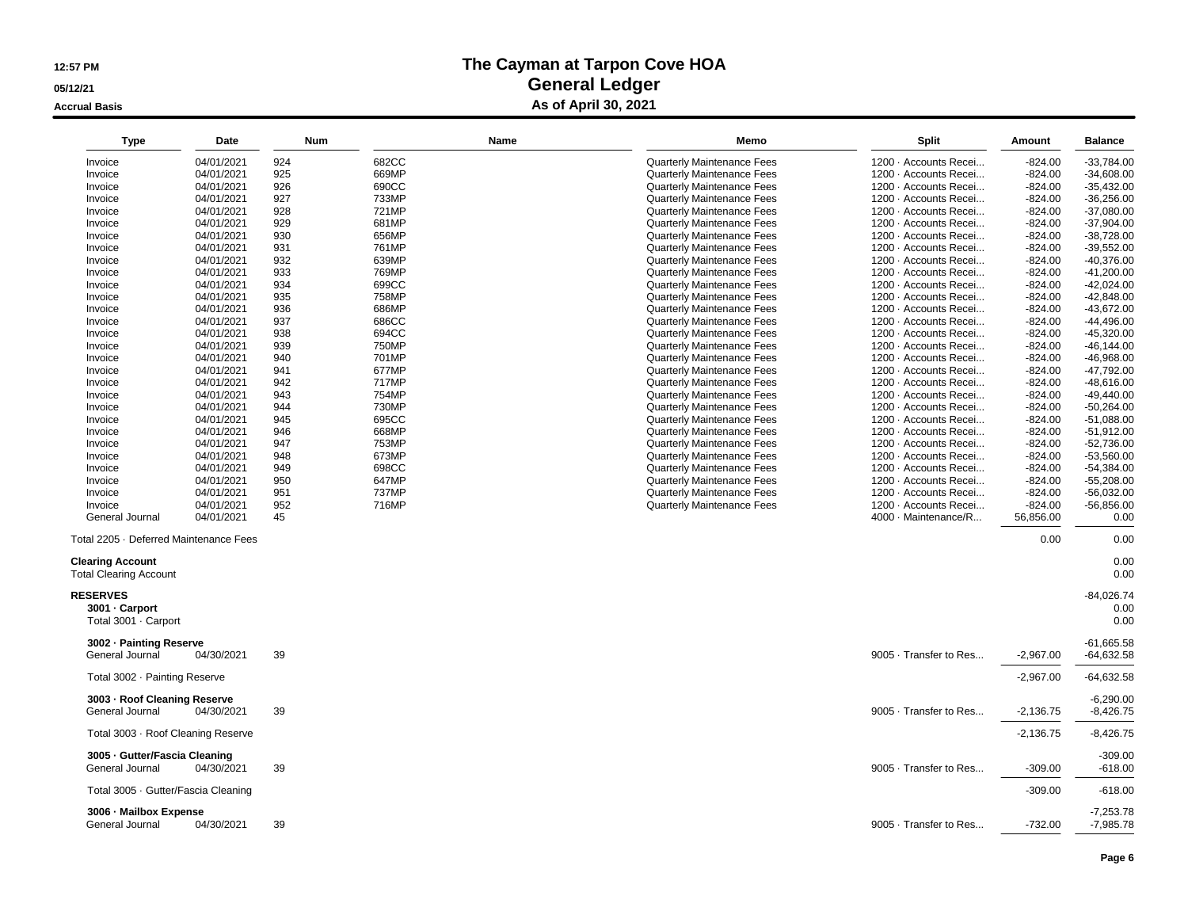**05/12/21**

**Accrual Basis**

| <b>Type</b>                                              | <b>Date</b>              | <b>Num</b> | <b>Name</b>    | Memo                                                     | <b>Split</b>                                   | <b>Amount</b>          | <b>Balance</b>               |
|----------------------------------------------------------|--------------------------|------------|----------------|----------------------------------------------------------|------------------------------------------------|------------------------|------------------------------|
| Invoice                                                  | 04/01/2021               | 924        | 682CC          | <b>Quarterly Maintenance Fees</b>                        | 1200 · Accounts Recei                          | $-824.00$              | $-33,784.00$                 |
| Invoice                                                  | 04/01/2021               | 925        | 669MP          | <b>Quarterly Maintenance Fees</b>                        | 1200 · Accounts Recei                          | $-824.00$              | $-34.608.00$                 |
| Invoice                                                  | 04/01/2021               | 926        | 690CC          | <b>Quarterly Maintenance Fees</b>                        | 1200 · Accounts Recei                          | $-824.00$              | $-35,432.00$                 |
| Invoice                                                  | 04/01/2021               | 927        | 733MP          | <b>Quarterly Maintenance Fees</b>                        | 1200 · Accounts Recei                          | $-824.00$              | $-36,256.00$                 |
| Invoice                                                  | 04/01/2021               | 928        | 721MP          | <b>Quarterly Maintenance Fees</b>                        | 1200 · Accounts Recei                          | $-824.00$              | $-37,080.00$                 |
| Invoice                                                  | 04/01/2021               | 929        | 681MP          | Quarterly Maintenance Fees                               | 1200 · Accounts Recei                          | $-824.00$              | $-37,904.00$                 |
| Invoice                                                  | 04/01/2021               | 930        | 656MP          | <b>Quarterly Maintenance Fees</b>                        | 1200 · Accounts Recei                          | $-824.00$              | $-38.728.00$                 |
| Invoice                                                  | 04/01/2021               | 931        | 761MP          | Quarterly Maintenance Fees                               | 1200 · Accounts Recei                          | $-824.00$              | $-39,552.00$                 |
| Invoice                                                  | 04/01/2021               | 932        | 639MP          | <b>Quarterly Maintenance Fees</b>                        | 1200 · Accounts Recei                          | $-824.00$              | $-40,376.00$                 |
| Invoice                                                  | 04/01/2021               | 933        | 769MP          | Quarterly Maintenance Fees                               | 1200 · Accounts Recei                          | $-824.00$              | $-41,200.00$                 |
| Invoice                                                  | 04/01/2021               | 934        | 699CC          | <b>Quarterly Maintenance Fees</b>                        | 1200 · Accounts Recei                          | $-824.00$              | $-42.024.00$                 |
| Invoice                                                  | 04/01/2021               | 935        | 758MP          | Quarterly Maintenance Fees                               | 1200 · Accounts Recei                          | $-824.00$              | $-42,848.00$                 |
| Invoice                                                  | 04/01/2021               | 936        | 686MP          | <b>Quarterly Maintenance Fees</b>                        | 1200 · Accounts Recei                          | $-824.00$              | $-43,672.00$                 |
| Invoice                                                  | 04/01/2021               | 937        | 686CC          | Quarterly Maintenance Fees                               | 1200 · Accounts Recei                          | $-824.00$              | $-44,496.00$                 |
| Invoice                                                  | 04/01/2021               | 938        | 694CC          | Quarterly Maintenance Fees                               | 1200 · Accounts Recei                          | $-824.00$              | $-45.320.00$                 |
| Invoice                                                  | 04/01/2021               | 939        | 750MP          | Quarterly Maintenance Fees                               | 1200 · Accounts Recei                          | $-824.00$              | $-46, 144.00$                |
| Invoice                                                  | 04/01/2021               | 940        | 701MP          | Quarterly Maintenance Fees                               | 1200 · Accounts Recei                          | $-824.00$              | $-46,968.00$                 |
| Invoice                                                  | 04/01/2021               | 941        | 677MP          | <b>Quarterly Maintenance Fees</b>                        | 1200 · Accounts Recei                          | $-824.00$              | $-47,792.00$                 |
| Invoice                                                  | 04/01/2021               | 942        | 717MP          | <b>Quarterly Maintenance Fees</b>                        | 1200 · Accounts Recei                          | $-824.00$              | $-48,616.00$                 |
| Invoice                                                  | 04/01/2021               | 943        | 754MP          | <b>Quarterly Maintenance Fees</b>                        | 1200 · Accounts Recei                          | $-824.00$              | $-49,440.00$                 |
| Invoice                                                  | 04/01/2021               | 944        | 730MP          | <b>Quarterly Maintenance Fees</b>                        | 1200 · Accounts Recei                          | $-824.00$              | $-50,264.00$                 |
| Invoice                                                  | 04/01/2021               | 945        | 695CC          | <b>Quarterly Maintenance Fees</b>                        | 1200 · Accounts Recei                          | $-824.00$              | $-51.088.00$                 |
| Invoice                                                  | 04/01/2021               | 946        | 668MP          | <b>Quarterly Maintenance Fees</b>                        | 1200 · Accounts Recei                          | $-824.00$              | $-51,912.00$                 |
| Invoice                                                  | 04/01/2021               | 947        | 753MP          | Quarterly Maintenance Fees                               | 1200 · Accounts Recei                          | $-824.00$              | $-52.736.00$                 |
| Invoice                                                  | 04/01/2021               | 948        | 673MP          | <b>Quarterly Maintenance Fees</b>                        | 1200 · Accounts Recei                          | $-824.00$              | $-53,560.00$                 |
| Invoice                                                  | 04/01/2021               | 949        | 698CC          | Quarterly Maintenance Fees                               | 1200 · Accounts Recei                          | $-824.00$              | $-54,384.00$                 |
| Invoice                                                  | 04/01/2021               | 950<br>951 | 647MP          | Quarterly Maintenance Fees                               | 1200 · Accounts Recei                          | $-824.00$              | $-55,208.00$                 |
| Invoice<br>Invoice                                       | 04/01/2021<br>04/01/2021 | 952        | 737MP<br>716MP | Quarterly Maintenance Fees<br>Quarterly Maintenance Fees | 1200 · Accounts Recei<br>1200 · Accounts Recei | $-824.00$<br>$-824.00$ | $-56,032.00$<br>$-56,856.00$ |
| General Journal                                          | 04/01/2021               | 45         |                |                                                          | 4000 · Maintenance/R                           | 56,856.00              | 0.00                         |
|                                                          |                          |            |                |                                                          |                                                |                        |                              |
| Total 2205 · Deferred Maintenance Fees                   |                          |            |                |                                                          |                                                | 0.00                   | 0.00                         |
| <b>Clearing Account</b><br><b>Total Clearing Account</b> |                          |            |                |                                                          |                                                |                        | 0.00<br>0.00                 |
| <b>RESERVES</b>                                          |                          |            |                |                                                          |                                                |                        | $-84,026.74$                 |
| 3001 - Carport                                           |                          |            |                |                                                          |                                                |                        | 0.00                         |
| Total 3001 · Carport                                     |                          |            |                |                                                          |                                                |                        | 0.00                         |
| 3002 - Painting Reserve                                  |                          |            |                |                                                          |                                                |                        | $-61,665.58$                 |
| General Journal                                          | 04/30/2021               | 39         |                |                                                          | 9005 · Transfer to Res                         | $-2,967.00$            | $-64,632.58$                 |
| Total 3002 · Painting Reserve                            |                          |            |                |                                                          |                                                | $-2,967.00$            | -64,632.58                   |
| 3003 - Roof Cleaning Reserve<br>General Journal          | 04/30/2021               | 39         |                |                                                          | 9005 · Transfer to Res                         | $-2,136.75$            | $-6,290.00$<br>$-8,426.75$   |
| Total 3003 · Roof Cleaning Reserve                       |                          |            |                |                                                          |                                                | $-2,136.75$            | $-8,426.75$                  |
| 3005 - Gutter/Fascia Cleaning<br>General Journal         | 04/30/2021               | 39         |                |                                                          | 9005 · Transfer to Res                         | $-309.00$              | $-309.00$<br>$-618.00$       |
| Total 3005 · Gutter/Fascia Cleaning                      |                          |            |                |                                                          |                                                | $-309.00$              | $-618.00$                    |
| 3006 - Mailbox Expense<br>General Journal                | 04/30/2021               | 39         |                |                                                          | 9005 · Transfer to Res                         | $-732.00$              | $-7,253.78$<br>$-7,985.78$   |
|                                                          |                          |            |                |                                                          |                                                |                        |                              |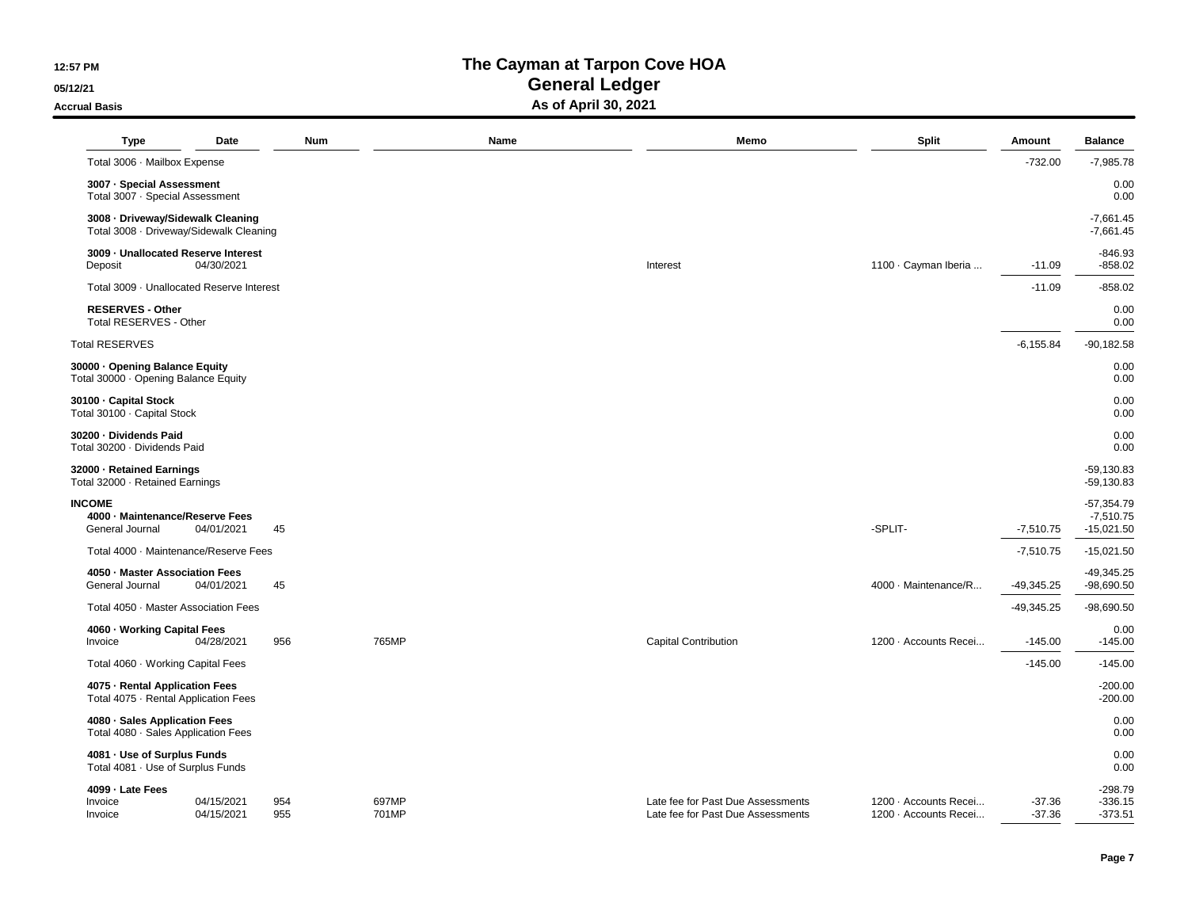**05/12/21**

**Accrual Basis**

| <b>Type</b>                                                                  | Date                     | Num        |                | Name | Memo                                                                   | <b>Split</b>                                   | Amount               | <b>Balance</b>                              |
|------------------------------------------------------------------------------|--------------------------|------------|----------------|------|------------------------------------------------------------------------|------------------------------------------------|----------------------|---------------------------------------------|
| Total 3006 · Mailbox Expense                                                 |                          |            |                |      |                                                                        |                                                | $-732.00$            | $-7,985.78$                                 |
| 3007 - Special Assessment<br>Total 3007 · Special Assessment                 |                          |            |                |      |                                                                        |                                                |                      | 0.00<br>0.00                                |
| 3008 - Driveway/Sidewalk Cleaning<br>Total 3008 · Driveway/Sidewalk Cleaning |                          |            |                |      |                                                                        |                                                |                      | $-7,661.45$<br>$-7,661.45$                  |
| 3009 - Unallocated Reserve Interest<br>Deposit                               | 04/30/2021               |            |                |      | Interest                                                               | 1100 · Cayman Iberia                           | $-11.09$             | $-846.93$<br>$-858.02$                      |
| Total 3009 · Unallocated Reserve Interest                                    |                          |            |                |      |                                                                        |                                                | $-11.09$             | $-858.02$                                   |
| <b>RESERVES - Other</b><br>Total RESERVES - Other                            |                          |            |                |      |                                                                        |                                                |                      | 0.00<br>0.00                                |
| <b>Total RESERVES</b>                                                        |                          |            |                |      |                                                                        |                                                | $-6, 155.84$         | $-90, 182.58$                               |
| 30000 · Opening Balance Equity<br>Total 30000 · Opening Balance Equity       |                          |            |                |      |                                                                        |                                                |                      | 0.00<br>0.00                                |
| 30100 · Capital Stock<br>Total 30100 · Capital Stock                         |                          |            |                |      |                                                                        |                                                |                      | 0.00<br>0.00                                |
| 30200 - Dividends Paid<br>Total 30200 · Dividends Paid                       |                          |            |                |      |                                                                        |                                                |                      | 0.00<br>0.00                                |
| 32000 - Retained Earnings<br>Total 32000 · Retained Earnings                 |                          |            |                |      |                                                                        |                                                |                      | $-59,130.83$<br>$-59,130.83$                |
| <b>INCOME</b><br>4000 - Maintenance/Reserve Fees<br>General Journal          | 04/01/2021               | 45         |                |      |                                                                        | -SPLIT-                                        | $-7,510.75$          | $-57,354.79$<br>$-7,510.75$<br>$-15,021.50$ |
| Total 4000 · Maintenance/Reserve Fees                                        |                          |            |                |      |                                                                        |                                                | $-7,510.75$          | $-15,021.50$                                |
| 4050 · Master Association Fees<br>General Journal                            | 04/01/2021               | 45         |                |      |                                                                        | 4000 · Maintenance/R                           | $-49,345.25$         | $-49,345.25$<br>$-98,690.50$                |
| Total 4050 · Master Association Fees                                         |                          |            |                |      |                                                                        |                                                | $-49,345.25$         | $-98,690.50$                                |
| 4060 · Working Capital Fees<br>Invoice                                       | 04/28/2021               | 956        | 765MP          |      | <b>Capital Contribution</b>                                            | 1200 · Accounts Recei                          | $-145.00$            | 0.00<br>$-145.00$                           |
| Total 4060 · Working Capital Fees                                            |                          |            |                |      |                                                                        |                                                | $-145.00$            | $-145.00$                                   |
| 4075 - Rental Application Fees<br>Total 4075 · Rental Application Fees       |                          |            |                |      |                                                                        |                                                |                      | $-200.00$<br>$-200.00$                      |
| 4080 · Sales Application Fees<br>Total 4080 · Sales Application Fees         |                          |            |                |      |                                                                        |                                                |                      | 0.00<br>0.00                                |
| 4081 - Use of Surplus Funds<br>Total 4081 · Use of Surplus Funds             |                          |            |                |      |                                                                        |                                                |                      | 0.00<br>0.00                                |
| 4099 - Late Fees<br>Invoice<br>Invoice                                       | 04/15/2021<br>04/15/2021 | 954<br>955 | 697MP<br>701MP |      | Late fee for Past Due Assessments<br>Late fee for Past Due Assessments | 1200 · Accounts Recei<br>1200 · Accounts Recei | $-37.36$<br>$-37.36$ | $-298.79$<br>$-336.15$<br>$-373.51$         |
|                                                                              |                          |            |                |      |                                                                        |                                                |                      |                                             |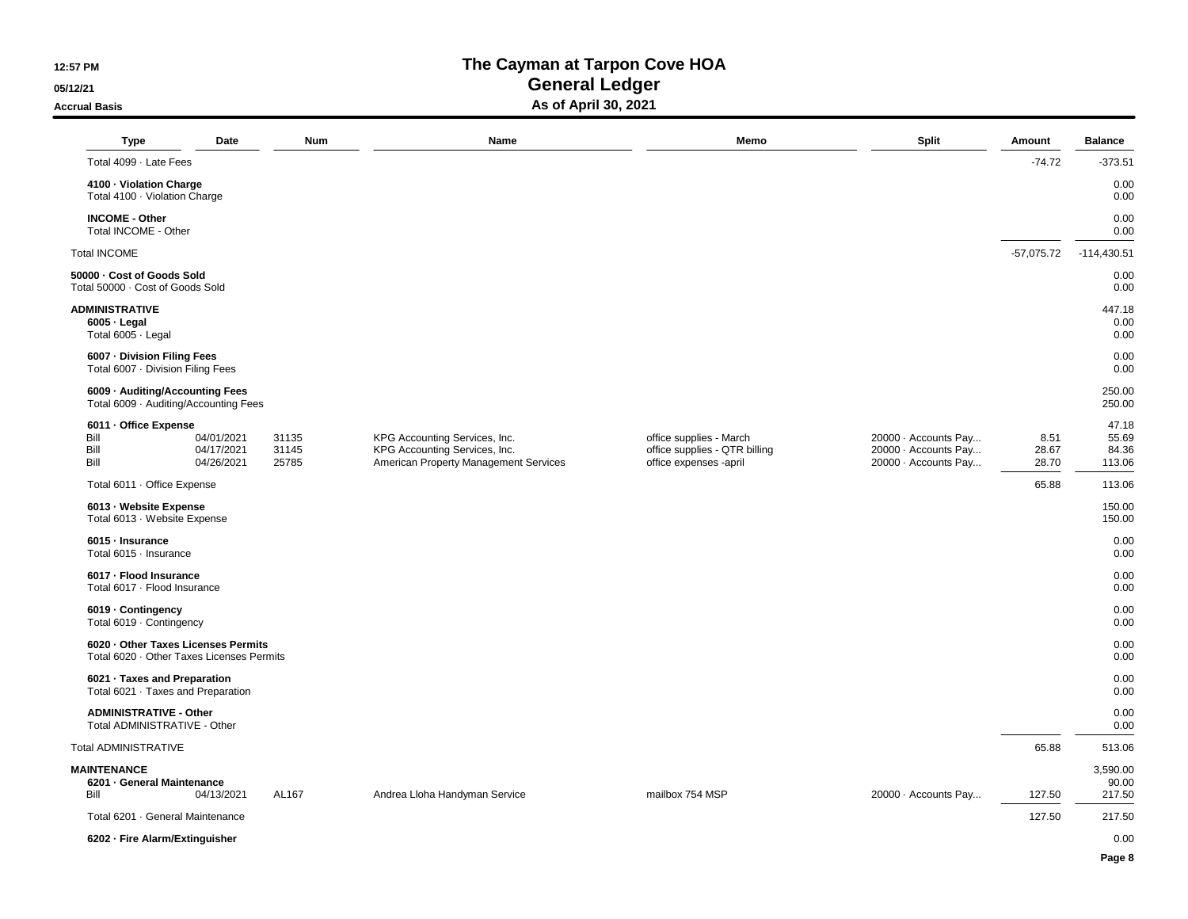**05/12/21**

**Accrual Basis**

| <b>Type</b>                                                                      | Date                                   | Num                     | Name                                                                                                    | Memo                                                                               | <b>Split</b>                                                         | Amount                 | <b>Balance</b>                    |
|----------------------------------------------------------------------------------|----------------------------------------|-------------------------|---------------------------------------------------------------------------------------------------------|------------------------------------------------------------------------------------|----------------------------------------------------------------------|------------------------|-----------------------------------|
| Total 4099 · Late Fees                                                           |                                        |                         |                                                                                                         |                                                                                    |                                                                      | $-74.72$               | $-373.51$                         |
| 4100 · Violation Charge<br>Total 4100 · Violation Charge                         |                                        |                         |                                                                                                         |                                                                                    |                                                                      |                        | 0.00<br>0.00                      |
| <b>INCOME - Other</b><br>Total INCOME - Other                                    |                                        |                         |                                                                                                         |                                                                                    |                                                                      |                        | 0.00<br>0.00                      |
| <b>Total INCOME</b>                                                              |                                        |                         |                                                                                                         |                                                                                    |                                                                      | $-57,075.72$           | $-114,430.51$                     |
| 50000 - Cost of Goods Sold<br>Total 50000 · Cost of Goods Sold                   |                                        |                         |                                                                                                         |                                                                                    |                                                                      |                        | 0.00<br>0.00                      |
| <b>ADMINISTRATIVE</b><br>$6005 -$ Legal<br>Total 6005 · Legal                    |                                        |                         |                                                                                                         |                                                                                    |                                                                      |                        | 447.18<br>0.00<br>0.00            |
| 6007 - Division Filing Fees<br>Total 6007 · Division Filing Fees                 |                                        |                         |                                                                                                         |                                                                                    |                                                                      |                        | 0.00<br>0.00                      |
| 6009 · Auditing/Accounting Fees<br>Total 6009 · Auditing/Accounting Fees         |                                        |                         |                                                                                                         |                                                                                    |                                                                      |                        | 250.00<br>250.00                  |
| 6011 - Office Expense<br>Bill<br>Bill<br>Bill                                    | 04/01/2021<br>04/17/2021<br>04/26/2021 | 31135<br>31145<br>25785 | KPG Accounting Services, Inc.<br>KPG Accounting Services, Inc.<br>American Property Management Services | office supplies - March<br>office supplies - QTR billing<br>office expenses -april | 20000 · Accounts Pay<br>20000 · Accounts Pay<br>20000 · Accounts Pay | 8.51<br>28.67<br>28.70 | 47.18<br>55.69<br>84.36<br>113.06 |
| Total 6011 · Office Expense                                                      |                                        |                         |                                                                                                         |                                                                                    |                                                                      | 65.88                  | 113.06                            |
| 6013 - Website Expense<br>Total 6013 · Website Expense                           |                                        |                         |                                                                                                         |                                                                                    |                                                                      |                        | 150.00<br>150.00                  |
| 6015 - Insurance<br>Total 6015 · Insurance                                       |                                        |                         |                                                                                                         |                                                                                    |                                                                      |                        | 0.00<br>0.00                      |
| 6017 - Flood Insurance<br>Total 6017 · Flood Insurance                           |                                        |                         |                                                                                                         |                                                                                    |                                                                      |                        | 0.00<br>0.00                      |
| 6019 - Contingency<br>Total 6019 · Contingency                                   |                                        |                         |                                                                                                         |                                                                                    |                                                                      |                        | 0.00<br>0.00                      |
| 6020 · Other Taxes Licenses Permits<br>Total 6020 · Other Taxes Licenses Permits |                                        |                         |                                                                                                         |                                                                                    |                                                                      |                        | 0.00<br>0.00                      |
| 6021 · Taxes and Preparation<br>Total 6021 · Taxes and Preparation               |                                        |                         |                                                                                                         |                                                                                    |                                                                      |                        | 0.00<br>0.00                      |
| <b>ADMINISTRATIVE - Other</b><br>Total ADMINISTRATIVE - Other                    |                                        |                         |                                                                                                         |                                                                                    |                                                                      |                        | 0.00<br>0.00                      |
| <b>Total ADMINISTRATIVE</b>                                                      |                                        |                         |                                                                                                         |                                                                                    |                                                                      | 65.88                  | 513.06                            |
| <b>MAINTENANCE</b><br>6201 - General Maintenance<br>Bill                         | 04/13/2021                             | AL167                   | Andrea Lloha Handyman Service                                                                           | mailbox 754 MSP                                                                    | 20000 · Accounts Pay                                                 | 127.50                 | 3,590.00<br>90.00<br>217.50       |
| Total 6201 · General Maintenance                                                 |                                        |                         |                                                                                                         |                                                                                    |                                                                      | 127.50                 | 217.50                            |
| 6202 - Fire Alarm/Extinguisher                                                   |                                        |                         |                                                                                                         |                                                                                    |                                                                      |                        | 0.00                              |
|                                                                                  |                                        |                         |                                                                                                         |                                                                                    |                                                                      |                        | Page 8                            |